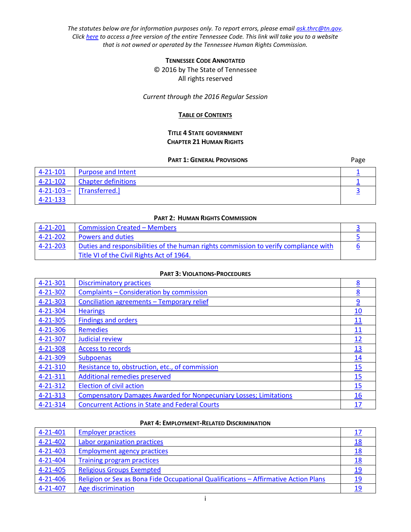*The statutes below are for information purposes only. To report errors, please email [ask.thrc@tn.gov.](mailto:ask.thrc@tn.gov) Clic[k here](http://www.lexisnexis.com/hottopics/tncode/) to access a free version of the entire Tennessee Code. This link will take you to a website that is not owned or operated by the Tennessee Human Rights Commission.*

## **TENNESSEE CODE ANNOTATED**

© 2016 by The State of Tennessee All rights reserved

### *Current through the 2016 Regular Session*

### **TABLE OF CONTENTS**

### **TITLE 4 STATE GOVERNMENT CHAPTER 21 HUMAN RIGHTS**

### **PART 1: GENERAL PROVISIONS** Page

<span id="page-0-0"></span>

| $4 - 21 - 101$ | <b>Purpose and Intent</b>   |  |
|----------------|-----------------------------|--|
| $4 - 21 - 102$ | Chapter definitions         |  |
|                | $4-21-103 -$ [Transferred.] |  |
| 4-21-133       |                             |  |

## **PART 2: HUMAN RIGHTS COMMISSION**

| $4 - 21 - 201$ | <b>Commission Created - Members</b>                                                  |  |
|----------------|--------------------------------------------------------------------------------------|--|
| $4 - 21 - 202$ | <b>Powers and duties</b>                                                             |  |
| 4-21-203       | Duties and responsibilities of the human rights commission to verify compliance with |  |
|                | Title VI of the Civil Rights Act of 1964.                                            |  |

## **PART 3: VIOLATIONS-PROCEDURES**

| 4-21-301       | <b>Discriminatory practices</b>                                          | 8                |
|----------------|--------------------------------------------------------------------------|------------------|
| 4-21-302       | Complaints - Consideration by commission                                 | 8                |
| 4-21-303       | Conciliation agreements - Temporary relief                               | $\overline{9}$   |
| 4-21-304       | <b>Hearings</b>                                                          | 10               |
| $4 - 21 - 305$ | <b>Findings and orders</b>                                               | <u> 11</u>       |
| 4-21-306       | <b>Remedies</b>                                                          | 11               |
| 4-21-307       | Judicial review                                                          | 12               |
| 4-21-308       | <b>Access to records</b>                                                 | <u>13</u>        |
| 4-21-309       | <b>Subpoenas</b>                                                         | $\underline{14}$ |
| 4-21-310       | Resistance to, obstruction, etc., of commission                          | 15               |
| 4-21-311       | <b>Additional remedies preserved</b>                                     | 15               |
| $4 - 21 - 312$ | <b>Election of civil action</b>                                          | 15               |
| $4 - 21 - 313$ | <b>Compensatory Damages Awarded for Nonpecuniary Losses; Limitations</b> | 16               |
| 4-21-314       | <b>Concurrent Actions in State and Federal Courts</b>                    | 17               |

### **PART 4: EMPLOYMENT-RELATED DISCRIMINATION**

| $4 - 21 - 401$ | <b>Employer practices</b>                                                           |            |
|----------------|-------------------------------------------------------------------------------------|------------|
| 4-21-402       | Labor organization practices                                                        | <u> 18</u> |
| $4 - 21 - 403$ | <b>Employment agency practices</b>                                                  | 18         |
| 4-21-404       | Training program practices                                                          | <u> 18</u> |
| 4-21-405       | <b>Religious Groups Exempted</b>                                                    | 19         |
| 4-21-406       | Religion or Sex as Bona Fide Occupational Qualifications – Affirmative Action Plans | 19         |
| 4-21-407       | Age discrimination                                                                  | 19         |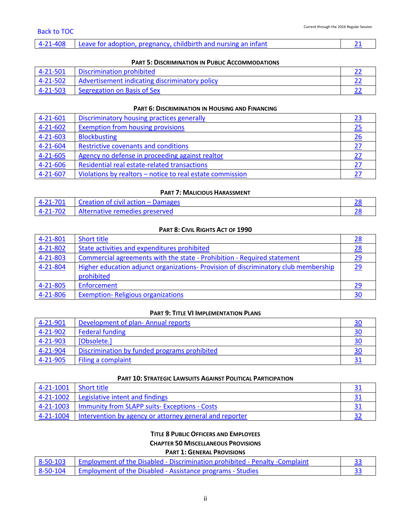|  |  | 4-21-408 Leave for adoption, pregnancy, childbirth and nursing an infant |  |
|--|--|--------------------------------------------------------------------------|--|
|--|--|--------------------------------------------------------------------------|--|

#### **PART 5: DISCRIMINATION IN PUBLIC ACCOMMODATIONS**

| 4-21-501 | Discrimination prohibited                      |  |
|----------|------------------------------------------------|--|
| 4-21-502 | Advertisement indicating discriminatory policy |  |
| 4-21-503 | Segregation on Basis of Sex                    |  |

#### **PART 6: DISCRIMINATION IN HOUSING AND FINANCING**

| $4 - 21 - 601$ | Discriminatory housing practices generally                |  |
|----------------|-----------------------------------------------------------|--|
| $4 - 21 - 602$ | <b>Exemption from housing provisions</b>                  |  |
| 4-21-603       | <b>Blockbusting</b>                                       |  |
| $4 - 21 - 604$ | Restrictive covenants and conditions                      |  |
| $4 - 21 - 605$ | Agency no defense in proceeding against realtor           |  |
| $4 - 21 - 606$ | Residential real estate-related transactions              |  |
| $4 - 21 - 607$ | Violations by realtors - notice to real estate commission |  |

## **PART 7: MALICIOUS HARASSMENT**

| $4-21-701$ Creation of civil action – Damages |  |
|-----------------------------------------------|--|
| 4-21-702 Alternative remedies preserved       |  |

## **PART 8: CIVIL RIGHTS ACT OF 1990**

| 4-21-801 | Short title                                                                         | 28 |
|----------|-------------------------------------------------------------------------------------|----|
| 4-21-802 | State activities and expenditures prohibited                                        | 28 |
| 4-21-803 | Commercial agreements with the state - Prohibition - Required statement             | 29 |
| 4-21-804 | Higher education adjunct organizations- Provision of discriminatory club membership | 29 |
|          | prohibited                                                                          |    |
| 4-21-805 | Enforcement                                                                         | 29 |
| 4-21-806 | <b>Exemption-Religious organizations</b>                                            | 30 |

#### **PART 9: TITLE VI IMPLEMENTATION PLANS**

| $4 - 21 - 901$ | Development of plan-Annual reports           | 30 |
|----------------|----------------------------------------------|----|
| 4-21-902       | <b>Federal funding</b>                       |    |
| 4-21-903       | [Obsolete.]                                  |    |
| $4 - 21 - 904$ | Discrimination by funded programs prohibited |    |
| $-4-21-905$    | Filing a complaint                           |    |

### **PART 10: STRATEGIC LAWSUITS AGAINST POLITICAL PARTICIPATION**

| $4-21-1001$ Short title |                                                         |  |
|-------------------------|---------------------------------------------------------|--|
| 4-21-1002               | Legislative intent and findings                         |  |
| 4-21-1003               | Immunity from SLAPP suits- Exceptions - Costs           |  |
| 4-21-1004               | Intervention by agency or attorney general and reporter |  |

# **TITLE 8 PUBLIC OFFICERS AND EMPLOYEES CHAPTER 50 MISCELLANEOUS PROVISIONS**

## **PART 1: GENERAL PROVISIONS**

| 8-50-103   Employment of the Disabled - Discrimination prohibited - Penalty -Complaint |  |
|----------------------------------------------------------------------------------------|--|
| 8-50-104 Employment of the Disabled - Assistance programs - Studies                    |  |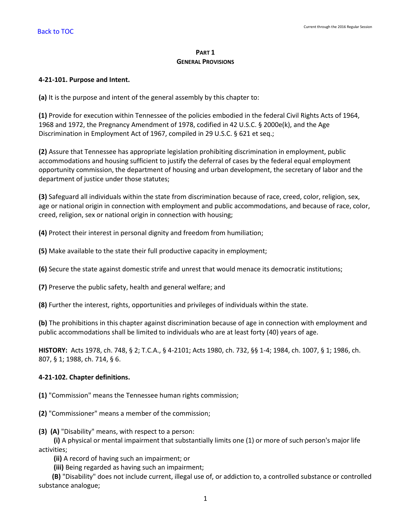# **PART 1 GENERAL PROVISIONS**

## <span id="page-2-0"></span>**4-21-101. Purpose and Intent.**

**(a)** It is the purpose and intent of the general assembly by this chapter to:

**(1)** Provide for execution within Tennessee of the policies embodied in the federal Civil Rights Acts of 1964, 1968 and 1972, the Pregnancy Amendment of 1978, codified in 42 U.S.C. § 2000e(k), and the Age Discrimination in Employment Act of 1967, compiled in 29 U.S.C. § 621 et seq.;

**(2)** Assure that Tennessee has appropriate legislation prohibiting discrimination in employment, public accommodations and housing sufficient to justify the deferral of cases by the federal equal employment opportunity commission, the department of housing and urban development, the secretary of labor and the department of justice under those statutes;

**(3)** Safeguard all individuals within the state from discrimination because of race, creed, color, religion, sex, age or national origin in connection with employment and public accommodations, and because of race, color, creed, religion, sex or national origin in connection with housing;

**(4)** Protect their interest in personal dignity and freedom from humiliation;

**(5)** Make available to the state their full productive capacity in employment;

**(6)** Secure the state against domestic strife and unrest that would menace its democratic institutions;

**(7)** Preserve the public safety, health and general welfare; and

**(8)** Further the interest, rights, opportunities and privileges of individuals within the state.

**(b)** The prohibitions in this chapter against discrimination because of age in connection with employment and public accommodations shall be limited to individuals who are at least forty (40) years of age.

**HISTORY:** Acts 1978, ch. 748, § 2; T.C.A., § 4-2101; Acts 1980, ch. 732, §§ 1-4; 1984, ch. 1007, § 1; 1986, ch. 807, § 1; 1988, ch. 714, § 6.

# <span id="page-2-1"></span>**4-21-102. Chapter definitions.**

**(1)** "Commission" means the Tennessee human rights commission;

**(2)** "Commissioner" means a member of the commission;

**(3) (A)** "Disability" means, with respect to a person:

 **(i)** A physical or mental impairment that substantially limits one (1) or more of such person's major life activities;

**(ii)** A record of having such an impairment; or

**(iii)** Being regarded as having such an impairment;

 **(B)** "Disability" does not include current, illegal use of, or addiction to, a controlled substance or controlled substance analogue;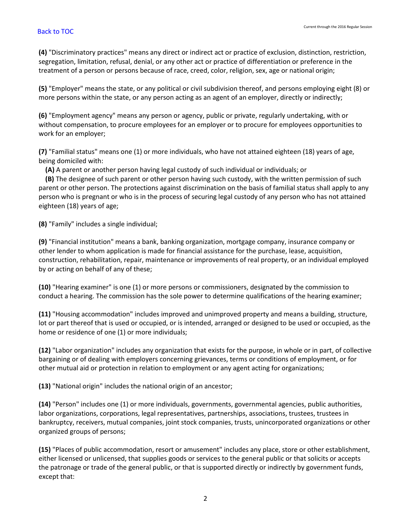**(4)** "Discriminatory practices" means any direct or indirect act or practice of exclusion, distinction, restriction, segregation, limitation, refusal, denial, or any other act or practice of differentiation or preference in the treatment of a person or persons because of race, creed, color, religion, sex, age or national origin;

**(5)** "Employer" means the state, or any political or civil subdivision thereof, and persons employing eight (8) or more persons within the state, or any person acting as an agent of an employer, directly or indirectly;

**(6)** "Employment agency" means any person or agency, public or private, regularly undertaking, with or without compensation, to procure employees for an employer or to procure for employees opportunities to work for an employer;

**(7)** "Familial status" means one (1) or more individuals, who have not attained eighteen (18) years of age, being domiciled with:

**(A)** A parent or another person having legal custody of such individual or individuals; or

 **(B)** The designee of such parent or other person having such custody, with the written permission of such parent or other person. The protections against discrimination on the basis of familial status shall apply to any person who is pregnant or who is in the process of securing legal custody of any person who has not attained eighteen (18) years of age;

**(8)** "Family" includes a single individual;

**(9)** "Financial institution" means a bank, banking organization, mortgage company, insurance company or other lender to whom application is made for financial assistance for the purchase, lease, acquisition, construction, rehabilitation, repair, maintenance or improvements of real property, or an individual employed by or acting on behalf of any of these;

**(10)** "Hearing examiner" is one (1) or more persons or commissioners, designated by the commission to conduct a hearing. The commission has the sole power to determine qualifications of the hearing examiner;

**(11)** "Housing accommodation" includes improved and unimproved property and means a building, structure, lot or part thereof that is used or occupied, or is intended, arranged or designed to be used or occupied, as the home or residence of one (1) or more individuals;

**(12)** "Labor organization" includes any organization that exists for the purpose, in whole or in part, of collective bargaining or of dealing with employers concerning grievances, terms or conditions of employment, or for other mutual aid or protection in relation to employment or any agent acting for organizations;

**(13)** "National origin" includes the national origin of an ancestor;

**(14)** "Person" includes one (1) or more individuals, governments, governmental agencies, public authorities, labor organizations, corporations, legal representatives, partnerships, associations, trustees, trustees in bankruptcy, receivers, mutual companies, joint stock companies, trusts, unincorporated organizations or other organized groups of persons;

**(15)** "Places of public accommodation, resort or amusement" includes any place, store or other establishment, either licensed or unlicensed, that supplies goods or services to the general public or that solicits or accepts the patronage or trade of the general public, or that is supported directly or indirectly by government funds, except that: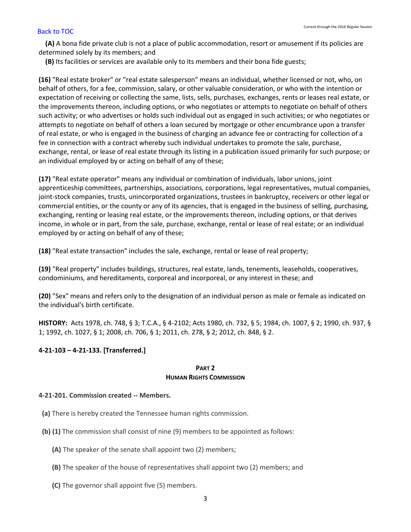**(A)** A bona fide private club is not a place of public accommodation, resort or amusement if its policies are determined solely by its members; and

**(B)** Its facilities or services are available only to its members and their bona fide guests;

**(16)** "Real estate broker" or "real estate salesperson" means an individual, whether licensed or not, who, on behalf of others, for a fee, commission, salary, or other valuable consideration, or who with the intention or expectation of receiving or collecting the same, lists, sells, purchases, exchanges, rents or leases real estate, or the improvements thereon, including options, or who negotiates or attempts to negotiate on behalf of others such activity; or who advertises or holds such individual out as engaged in such activities; or who negotiates or attempts to negotiate on behalf of others a loan secured by mortgage or other encumbrance upon a transfer of real estate, or who is engaged in the business of charging an advance fee or contracting for collection of a fee in connection with a contract whereby such individual undertakes to promote the sale, purchase, exchange, rental, or lease of real estate through its listing in a publication issued primarily for such purpose; or an individual employed by or acting on behalf of any of these;

**(17)** "Real estate operator" means any individual or combination of individuals, labor unions, joint apprenticeship committees, partnerships, associations, corporations, legal representatives, mutual companies, joint-stock companies, trusts, unincorporated organizations, trustees in bankruptcy, receivers or other legal or commercial entities, or the county or any of its agencies, that is engaged in the business of selling, purchasing, exchanging, renting or leasing real estate, or the improvements thereon, including options, or that derives income, in whole or in part, from the sale, purchase, exchange, rental or lease of real estate; or an individual employed by or acting on behalf of any of these;

**(18)** "Real estate transaction" includes the sale, exchange, rental or lease of real property;

**(19)** "Real property" includes buildings, structures, real estate, lands, tenements, leaseholds, cooperatives, condominiums, and hereditaments, corporeal and incorporeal, or any interest in these; and

**(20)** "Sex" means and refers only to the designation of an individual person as male or female as indicated on the individual's birth certificate.

**HISTORY:** Acts 1978, ch. 748, § 3; T.C.A., § 4-2102; Acts 1980, ch. 732, § 5; 1984, ch. 1007, § 2; 1990, ch. 937, § 1; 1992, ch. 1027, § 1; 2008, ch. 706, § 1; 2011, ch. 278, § 2; 2012, ch. 848, § 2.

# <span id="page-4-0"></span>**4-21-103 – 4-21-133. [Transferred.]**

### **PART 2 HUMAN RIGHTS COMMISSION**

### <span id="page-4-1"></span>**4-21-201. Commission created -- Members.**

- **(a)** There is hereby created the Tennessee human rights commission.
- **(b) (1)** The commission shall consist of nine (9) members to be appointed as follows:
	- **(A)** The speaker of the senate shall appoint two (2) members;
	- **(B)** The speaker of the house of representatives shall appoint two (2) members; and
	- **(C)** The governor shall appoint five (5) members.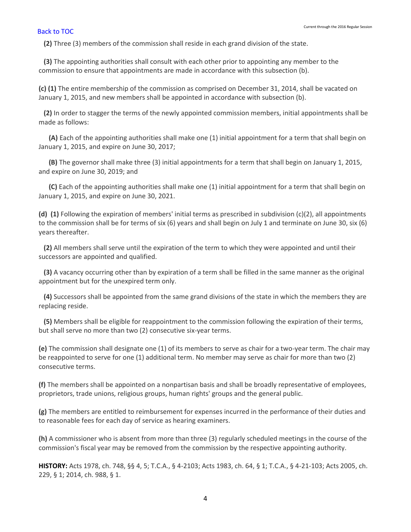**(2)** Three (3) members of the commission shall reside in each grand division of the state.

 **(3)** The appointing authorities shall consult with each other prior to appointing any member to the commission to ensure that appointments are made in accordance with this subsection (b).

**(c) (1)** The entire membership of the commission as comprised on December 31, 2014, shall be vacated on January 1, 2015, and new members shall be appointed in accordance with subsection (b).

 **(2)** In order to stagger the terms of the newly appointed commission members, initial appointments shall be made as follows:

 **(A)** Each of the appointing authorities shall make one (1) initial appointment for a term that shall begin on January 1, 2015, and expire on June 30, 2017;

 **(B)** The governor shall make three (3) initial appointments for a term that shall begin on January 1, 2015, and expire on June 30, 2019; and

 **(C)** Each of the appointing authorities shall make one (1) initial appointment for a term that shall begin on January 1, 2015, and expire on June 30, 2021.

**(d) (1)** Following the expiration of members' initial terms as prescribed in subdivision (c)(2), all appointments to the commission shall be for terms of six (6) years and shall begin on July 1 and terminate on June 30, six (6) years thereafter.

 **(2)** All members shall serve until the expiration of the term to which they were appointed and until their successors are appointed and qualified.

 **(3)** A vacancy occurring other than by expiration of a term shall be filled in the same manner as the original appointment but for the unexpired term only.

 **(4)** Successors shall be appointed from the same grand divisions of the state in which the members they are replacing reside.

 **(5)** Members shall be eligible for reappointment to the commission following the expiration of their terms, but shall serve no more than two (2) consecutive six-year terms.

**(e)** The commission shall designate one (1) of its members to serve as chair for a two-year term. The chair may be reappointed to serve for one (1) additional term. No member may serve as chair for more than two (2) consecutive terms.

**(f)** The members shall be appointed on a nonpartisan basis and shall be broadly representative of employees, proprietors, trade unions, religious groups, human rights' groups and the general public.

**(g)** The members are entitled to reimbursement for expenses incurred in the performance of their duties and to reasonable fees for each day of service as hearing examiners.

**(h)** A commissioner who is absent from more than three (3) regularly scheduled meetings in the course of the commission's fiscal year may be removed from the commission by the respective appointing authority.

**HISTORY:** Acts 1978, ch. 748, §§ 4, 5; T.C.A., § 4-2103; Acts 1983, ch. 64, § 1; T.C.A., § 4-21-103; Acts 2005, ch. 229, § 1; 2014, ch. 988, § 1.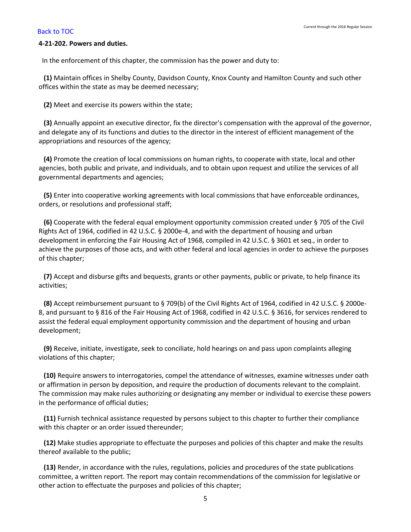#### <span id="page-6-0"></span>**4-21-202. Powers and duties.**

In the enforcement of this chapter, the commission has the power and duty to:

 **(1)** Maintain offices in Shelby County, Davidson County, Knox County and Hamilton County and such other offices within the state as may be deemed necessary;

**(2)** Meet and exercise its powers within the state;

 **(3)** Annually appoint an executive director, fix the director's compensation with the approval of the governor, and delegate any of its functions and duties to the director in the interest of efficient management of the appropriations and resources of the agency;

 **(4)** Promote the creation of local commissions on human rights, to cooperate with state, local and other agencies, both public and private, and individuals, and to obtain upon request and utilize the services of all governmental departments and agencies;

 **(5)** Enter into cooperative working agreements with local commissions that have enforceable ordinances, orders, or resolutions and professional staff;

 **(6)** Cooperate with the federal equal employment opportunity commission created under § 705 of the Civil Rights Act of 1964, codified in 42 U.S.C. § 2000e-4, and with the department of housing and urban development in enforcing the Fair Housing Act of 1968, compiled in 42 U.S.C. § 3601 et seq., in order to achieve the purposes of those acts, and with other federal and local agencies in order to achieve the purposes of this chapter;

 **(7)** Accept and disburse gifts and bequests, grants or other payments, public or private, to help finance its activities;

 **(8)** Accept reimbursement pursuant to § 709(b) of the Civil Rights Act of 1964, codified in 42 U.S.C. § 2000e-8, and pursuant to § 816 of the Fair Housing Act of 1968, codified in 42 U.S.C. § 3616, for services rendered to assist the federal equal employment opportunity commission and the department of housing and urban development;

 **(9)** Receive, initiate, investigate, seek to conciliate, hold hearings on and pass upon complaints alleging violations of this chapter;

 **(10)** Require answers to interrogatories, compel the attendance of witnesses, examine witnesses under oath or affirmation in person by deposition, and require the production of documents relevant to the complaint. The commission may make rules authorizing or designating any member or individual to exercise these powers in the performance of official duties;

 **(11)** Furnish technical assistance requested by persons subject to this chapter to further their compliance with this chapter or an order issued thereunder;

 **(12)** Make studies appropriate to effectuate the purposes and policies of this chapter and make the results thereof available to the public;

 **(13)** Render, in accordance with the rules, regulations, policies and procedures of the state publications committee, a written report. The report may contain recommendations of the commission for legislative or other action to effectuate the purposes and policies of this chapter;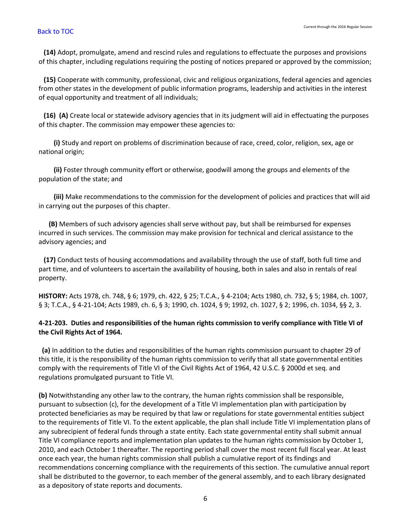**(14)** Adopt, promulgate, amend and rescind rules and regulations to effectuate the purposes and provisions of this chapter, including regulations requiring the posting of notices prepared or approved by the commission;

 **(15)** Cooperate with community, professional, civic and religious organizations, federal agencies and agencies from other states in the development of public information programs, leadership and activities in the interest of equal opportunity and treatment of all individuals;

 **(16) (A)** Create local or statewide advisory agencies that in its judgment will aid in effectuating the purposes of this chapter. The commission may empower these agencies to:

 **(i)** Study and report on problems of discrimination because of race, creed, color, religion, sex, age or national origin;

 **(ii)** Foster through community effort or otherwise, goodwill among the groups and elements of the population of the state; and

 **(iii)** Make recommendations to the commission for the development of policies and practices that will aid in carrying out the purposes of this chapter.

 **(B)** Members of such advisory agencies shall serve without pay, but shall be reimbursed for expenses incurred in such services. The commission may make provision for technical and clerical assistance to the advisory agencies; and

 **(17)** Conduct tests of housing accommodations and availability through the use of staff, both full time and part time, and of volunteers to ascertain the availability of housing, both in sales and also in rentals of real property.

**HISTORY:** Acts 1978, ch. 748, § 6; 1979, ch. 422, § 25; T.C.A., § 4-2104; Acts 1980, ch. 732, § 5; 1984, ch. 1007, § 3; T.C.A., § 4-21-104; Acts 1989, ch. 6, § 3; 1990, ch. 1024, § 9; 1992, ch. 1027, § 2; 1996, ch. 1034, §§ 2, 3.

# <span id="page-7-0"></span>**4-21-203. Duties and responsibilities of the human rights commission to verify compliance with Title VI of the Civil Rights Act of 1964.**

 **(a)** In addition to the duties and responsibilities of the human rights commission pursuant to chapter 29 of this title, it is the responsibility of the human rights commission to verify that all state governmental entities comply with the requirements of Title VI of the Civil Rights Act of 1964, 42 U.S.C. § 2000d et seq. and regulations promulgated pursuant to Title VI.

**(b)** Notwithstanding any other law to the contrary, the human rights commission shall be responsible, pursuant to subsection (c), for the development of a Title VI implementation plan with participation by protected beneficiaries as may be required by that law or regulations for state governmental entities subject to the requirements of Title VI. To the extent applicable, the plan shall include Title VI implementation plans of any subrecipient of federal funds through a state entity. Each state governmental entity shall submit annual Title VI compliance reports and implementation plan updates to the human rights commission by October 1, 2010, and each October 1 thereafter. The reporting period shall cover the most recent full fiscal year. At least once each year, the human rights commission shall publish a cumulative report of its findings and recommendations concerning compliance with the requirements of this section. The cumulative annual report shall be distributed to the governor, to each member of the general assembly, and to each library designated as a depository of state reports and documents.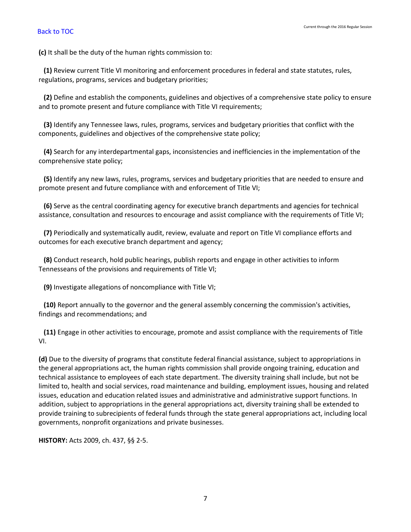**(c)** It shall be the duty of the human rights commission to:

 **(1)** Review current Title VI monitoring and enforcement procedures in federal and state statutes, rules, regulations, programs, services and budgetary priorities;

 **(2)** Define and establish the components, guidelines and objectives of a comprehensive state policy to ensure and to promote present and future compliance with Title VI requirements;

 **(3)** Identify any Tennessee laws, rules, programs, services and budgetary priorities that conflict with the components, guidelines and objectives of the comprehensive state policy;

 **(4)** Search for any interdepartmental gaps, inconsistencies and inefficiencies in the implementation of the comprehensive state policy;

 **(5)** Identify any new laws, rules, programs, services and budgetary priorities that are needed to ensure and promote present and future compliance with and enforcement of Title VI;

 **(6)** Serve as the central coordinating agency for executive branch departments and agencies for technical assistance, consultation and resources to encourage and assist compliance with the requirements of Title VI;

 **(7)** Periodically and systematically audit, review, evaluate and report on Title VI compliance efforts and outcomes for each executive branch department and agency;

 **(8)** Conduct research, hold public hearings, publish reports and engage in other activities to inform Tennesseans of the provisions and requirements of Title Vl;

**(9)** Investigate allegations of noncompliance with Title VI;

 **(10)** Report annually to the governor and the general assembly concerning the commission's activities, findings and recommendations; and

 **(11)** Engage in other activities to encourage, promote and assist compliance with the requirements of Title VI.

**(d)** Due to the diversity of programs that constitute federal financial assistance, subject to appropriations in the general appropriations act, the human rights commission shall provide ongoing training, education and technical assistance to employees of each state department. The diversity training shall include, but not be limited to, health and social services, road maintenance and building, employment issues, housing and related issues, education and education related issues and administrative and administrative support functions. In addition, subject to appropriations in the general appropriations act, diversity training shall be extended to provide training to subrecipients of federal funds through the state general appropriations act, including local governments, nonprofit organizations and private businesses.

**HISTORY:** Acts 2009, ch. 437, §§ 2-5.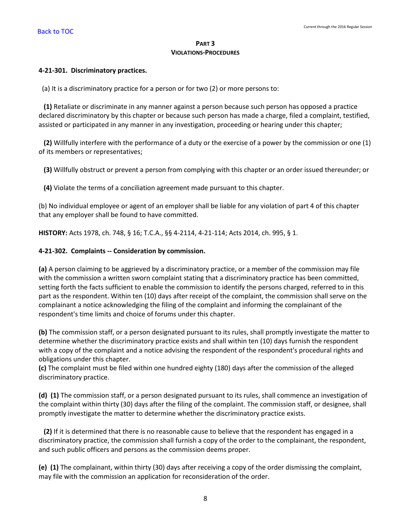## **PART 3 VIOLATIONS-PROCEDURES**

## <span id="page-9-0"></span>**4-21-301. Discriminatory practices.**

(a) It is a discriminatory practice for a person or for two (2) or more persons to:

 **(1)** Retaliate or discriminate in any manner against a person because such person has opposed a practice declared discriminatory by this chapter or because such person has made a charge, filed a complaint, testified, assisted or participated in any manner in any investigation, proceeding or hearing under this chapter;

 **(2)** Willfully interfere with the performance of a duty or the exercise of a power by the commission or one (1) of its members or representatives;

**(3)** Willfully obstruct or prevent a person from complying with this chapter or an order issued thereunder; or

**(4)** Violate the terms of a conciliation agreement made pursuant to this chapter.

(b) No individual employee or agent of an employer shall be liable for any violation of part 4 of this chapter that any employer shall be found to have committed.

**HISTORY:** Acts 1978, ch. 748, § 16; T.C.A., §§ 4-2114, 4-21-114; Acts 2014, ch. 995, § 1.

## <span id="page-9-1"></span>**4-21-302. Complaints -- Consideration by commission.**

**(a)** A person claiming to be aggrieved by a discriminatory practice, or a member of the commission may file with the commission a written sworn complaint stating that a discriminatory practice has been committed, setting forth the facts sufficient to enable the commission to identify the persons charged, referred to in this part as the respondent. Within ten (10) days after receipt of the complaint, the commission shall serve on the complainant a notice acknowledging the filing of the complaint and informing the complainant of the respondent's time limits and choice of forums under this chapter.

**(b)** The commission staff, or a person designated pursuant to its rules, shall promptly investigate the matter to determine whether the discriminatory practice exists and shall within ten (10) days furnish the respondent with a copy of the complaint and a notice advising the respondent of the respondent's procedural rights and obligations under this chapter.

**(c)** The complaint must be filed within one hundred eighty (180) days after the commission of the alleged discriminatory practice.

**(d) (1)** The commission staff, or a person designated pursuant to its rules, shall commence an investigation of the complaint within thirty (30) days after the filing of the complaint. The commission staff, or designee, shall promptly investigate the matter to determine whether the discriminatory practice exists.

 **(2)** If it is determined that there is no reasonable cause to believe that the respondent has engaged in a discriminatory practice, the commission shall furnish a copy of the order to the complainant, the respondent, and such public officers and persons as the commission deems proper.

**(e) (1)** The complainant, within thirty (30) days after receiving a copy of the order dismissing the complaint, may file with the commission an application for reconsideration of the order.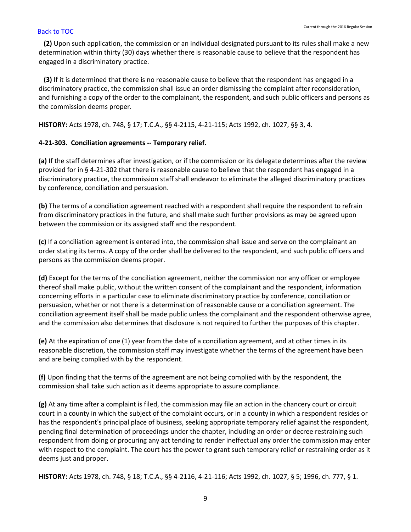**(2)** Upon such application, the commission or an individual designated pursuant to its rules shall make a new determination within thirty (30) days whether there is reasonable cause to believe that the respondent has engaged in a discriminatory practice.

 **(3)** If it is determined that there is no reasonable cause to believe that the respondent has engaged in a discriminatory practice, the commission shall issue an order dismissing the complaint after reconsideration, and furnishing a copy of the order to the complainant, the respondent, and such public officers and persons as the commission deems proper.

**HISTORY:** Acts 1978, ch. 748, § 17; T.C.A., §§ 4-2115, 4-21-115; Acts 1992, ch. 1027, §§ 3, 4.

# <span id="page-10-0"></span>**4-21-303. Conciliation agreements -- Temporary relief.**

**(a)** If the staff determines after investigation, or if the commission or its delegate determines after the review provided for in § 4-21-302 that there is reasonable cause to believe that the respondent has engaged in a discriminatory practice, the commission staff shall endeavor to eliminate the alleged discriminatory practices by conference, conciliation and persuasion.

**(b)** The terms of a conciliation agreement reached with a respondent shall require the respondent to refrain from discriminatory practices in the future, and shall make such further provisions as may be agreed upon between the commission or its assigned staff and the respondent.

**(c)** If a conciliation agreement is entered into, the commission shall issue and serve on the complainant an order stating its terms. A copy of the order shall be delivered to the respondent, and such public officers and persons as the commission deems proper.

**(d)** Except for the terms of the conciliation agreement, neither the commission nor any officer or employee thereof shall make public, without the written consent of the complainant and the respondent, information concerning efforts in a particular case to eliminate discriminatory practice by conference, conciliation or persuasion, whether or not there is a determination of reasonable cause or a conciliation agreement. The conciliation agreement itself shall be made public unless the complainant and the respondent otherwise agree, and the commission also determines that disclosure is not required to further the purposes of this chapter.

**(e)** At the expiration of one (1) year from the date of a conciliation agreement, and at other times in its reasonable discretion, the commission staff may investigate whether the terms of the agreement have been and are being complied with by the respondent.

**(f)** Upon finding that the terms of the agreement are not being complied with by the respondent, the commission shall take such action as it deems appropriate to assure compliance.

**(g)** At any time after a complaint is filed, the commission may file an action in the chancery court or circuit court in a county in which the subject of the complaint occurs, or in a county in which a respondent resides or has the respondent's principal place of business, seeking appropriate temporary relief against the respondent, pending final determination of proceedings under the chapter, including an order or decree restraining such respondent from doing or procuring any act tending to render ineffectual any order the commission may enter with respect to the complaint. The court has the power to grant such temporary relief or restraining order as it deems just and proper.

**HISTORY:** Acts 1978, ch. 748, § 18; T.C.A., §§ 4-2116, 4-21-116; Acts 1992, ch. 1027, § 5; 1996, ch. 777, § 1.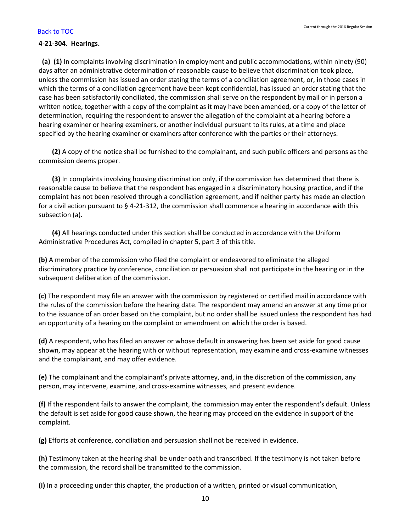### <span id="page-11-0"></span>**4-21-304. Hearings.**

 **(a) (1)** In complaints involving discrimination in employment and public accommodations, within ninety (90) days after an administrative determination of reasonable cause to believe that discrimination took place, unless the commission has issued an order stating the terms of a conciliation agreement, or, in those cases in which the terms of a conciliation agreement have been kept confidential, has issued an order stating that the case has been satisfactorily conciliated, the commission shall serve on the respondent by mail or in person a written notice, together with a copy of the complaint as it may have been amended, or a copy of the letter of determination, requiring the respondent to answer the allegation of the complaint at a hearing before a hearing examiner or hearing examiners, or another individual pursuant to its rules, at a time and place specified by the hearing examiner or examiners after conference with the parties or their attorneys.

 **(2)** A copy of the notice shall be furnished to the complainant, and such public officers and persons as the commission deems proper.

 **(3)** In complaints involving housing discrimination only, if the commission has determined that there is reasonable cause to believe that the respondent has engaged in a discriminatory housing practice, and if the complaint has not been resolved through a conciliation agreement, and if neither party has made an election for a civil action pursuant to § 4-21-312, the commission shall commence a hearing in accordance with this subsection (a).

 **(4)** All hearings conducted under this section shall be conducted in accordance with the Uniform Administrative Procedures Act, compiled in chapter 5, part 3 of this title.

**(b)** A member of the commission who filed the complaint or endeavored to eliminate the alleged discriminatory practice by conference, conciliation or persuasion shall not participate in the hearing or in the subsequent deliberation of the commission.

**(c)** The respondent may file an answer with the commission by registered or certified mail in accordance with the rules of the commission before the hearing date. The respondent may amend an answer at any time prior to the issuance of an order based on the complaint, but no order shall be issued unless the respondent has had an opportunity of a hearing on the complaint or amendment on which the order is based.

**(d)** A respondent, who has filed an answer or whose default in answering has been set aside for good cause shown, may appear at the hearing with or without representation, may examine and cross-examine witnesses and the complainant, and may offer evidence.

**(e)** The complainant and the complainant's private attorney, and, in the discretion of the commission, any person, may intervene, examine, and cross-examine witnesses, and present evidence.

**(f)** If the respondent fails to answer the complaint, the commission may enter the respondent's default. Unless the default is set aside for good cause shown, the hearing may proceed on the evidence in support of the complaint.

**(g)** Efforts at conference, conciliation and persuasion shall not be received in evidence.

**(h)** Testimony taken at the hearing shall be under oath and transcribed. If the testimony is not taken before the commission, the record shall be transmitted to the commission.

**(i)** In a proceeding under this chapter, the production of a written, printed or visual communication,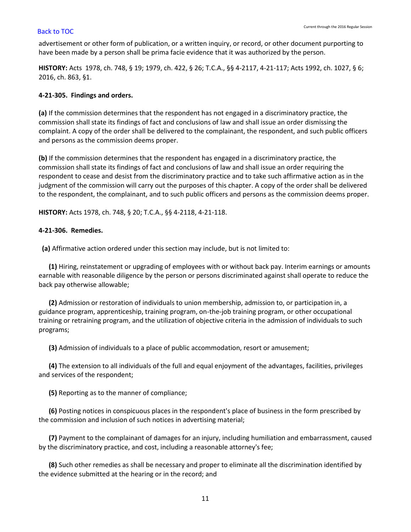advertisement or other form of publication, or a written inquiry, or record, or other document purporting to have been made by a person shall be prima facie evidence that it was authorized by the person.

**HISTORY:** Acts 1978, ch. 748, § 19; 1979, ch. 422, § 26; T.C.A., §§ 4-2117, 4-21-117; Acts 1992, ch. 1027, § 6; 2016, ch. 863, §1.

## <span id="page-12-0"></span>**4-21-305. Findings and orders.**

**(a)** If the commission determines that the respondent has not engaged in a discriminatory practice, the commission shall state its findings of fact and conclusions of law and shall issue an order dismissing the complaint. A copy of the order shall be delivered to the complainant, the respondent, and such public officers and persons as the commission deems proper.

**(b)** If the commission determines that the respondent has engaged in a discriminatory practice, the commission shall state its findings of fact and conclusions of law and shall issue an order requiring the respondent to cease and desist from the discriminatory practice and to take such affirmative action as in the judgment of the commission will carry out the purposes of this chapter. A copy of the order shall be delivered to the respondent, the complainant, and to such public officers and persons as the commission deems proper.

**HISTORY:** Acts 1978, ch. 748, § 20; T.C.A., §§ 4-2118, 4-21-118.

## <span id="page-12-1"></span>**4-21-306. Remedies.**

**(a)** Affirmative action ordered under this section may include, but is not limited to:

 **(1)** Hiring, reinstatement or upgrading of employees with or without back pay. Interim earnings or amounts earnable with reasonable diligence by the person or persons discriminated against shall operate to reduce the back pay otherwise allowable;

 **(2)** Admission or restoration of individuals to union membership, admission to, or participation in, a guidance program, apprenticeship, training program, on-the-job training program, or other occupational training or retraining program, and the utilization of objective criteria in the admission of individuals to such programs;

**(3)** Admission of individuals to a place of public accommodation, resort or amusement;

 **(4)** The extension to all individuals of the full and equal enjoyment of the advantages, facilities, privileges and services of the respondent;

**(5)** Reporting as to the manner of compliance;

 **(6)** Posting notices in conspicuous places in the respondent's place of business in the form prescribed by the commission and inclusion of such notices in advertising material;

 **(7)** Payment to the complainant of damages for an injury, including humiliation and embarrassment, caused by the discriminatory practice, and cost, including a reasonable attorney's fee;

 **(8)** Such other remedies as shall be necessary and proper to eliminate all the discrimination identified by the evidence submitted at the hearing or in the record; and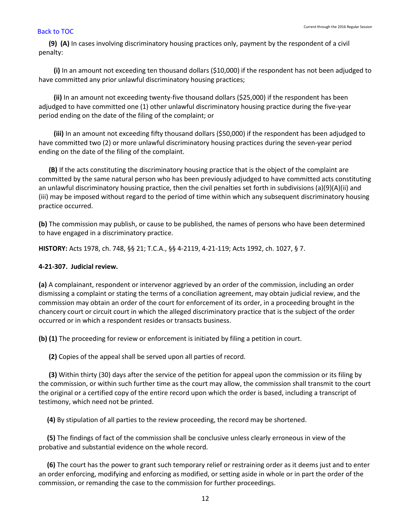**(9) (A)** In cases involving discriminatory housing practices only, payment by the respondent of a civil penalty:

 **(i)** In an amount not exceeding ten thousand dollars (\$10,000) if the respondent has not been adjudged to have committed any prior unlawful discriminatory housing practices;

 **(ii)** In an amount not exceeding twenty-five thousand dollars (\$25,000) if the respondent has been adjudged to have committed one (1) other unlawful discriminatory housing practice during the five-year period ending on the date of the filing of the complaint; or

 **(iii)** In an amount not exceeding fifty thousand dollars (\$50,000) if the respondent has been adjudged to have committed two (2) or more unlawful discriminatory housing practices during the seven-year period ending on the date of the filing of the complaint.

 **(B)** If the acts constituting the discriminatory housing practice that is the object of the complaint are committed by the same natural person who has been previously adjudged to have committed acts constituting an unlawful discriminatory housing practice, then the civil penalties set forth in subdivisions (a)(9)(A)(ii) and (iii) may be imposed without regard to the period of time within which any subsequent discriminatory housing practice occurred.

**(b)** The commission may publish, or cause to be published, the names of persons who have been determined to have engaged in a discriminatory practice.

**HISTORY:** Acts 1978, ch. 748, §§ 21; T.C.A., §§ 4-2119, 4-21-119; Acts 1992, ch. 1027, § 7.

# <span id="page-13-0"></span>**4-21-307. Judicial review.**

**(a)** A complainant, respondent or intervenor aggrieved by an order of the commission, including an order dismissing a complaint or stating the terms of a conciliation agreement, may obtain judicial review, and the commission may obtain an order of the court for enforcement of its order, in a proceeding brought in the chancery court or circuit court in which the alleged discriminatory practice that is the subject of the order occurred or in which a respondent resides or transacts business.

**(b) (1)** The proceeding for review or enforcement is initiated by filing a petition in court.

**(2)** Copies of the appeal shall be served upon all parties of record.

 **(3)** Within thirty (30) days after the service of the petition for appeal upon the commission or its filing by the commission, or within such further time as the court may allow, the commission shall transmit to the court the original or a certified copy of the entire record upon which the order is based, including a transcript of testimony, which need not be printed.

**(4)** By stipulation of all parties to the review proceeding, the record may be shortened.

 **(5)** The findings of fact of the commission shall be conclusive unless clearly erroneous in view of the probative and substantial evidence on the whole record.

 **(6)** The court has the power to grant such temporary relief or restraining order as it deems just and to enter an order enforcing, modifying and enforcing as modified, or setting aside in whole or in part the order of the commission, or remanding the case to the commission for further proceedings.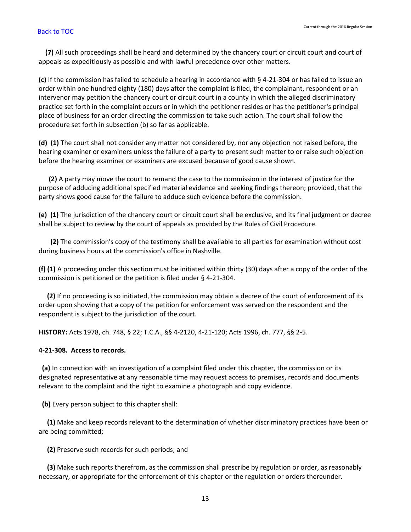**(7)** All such proceedings shall be heard and determined by the chancery court or circuit court and court of appeals as expeditiously as possible and with lawful precedence over other matters.

**(c)** If the commission has failed to schedule a hearing in accordance with § 4-21-304 or has failed to issue an order within one hundred eighty (180) days after the complaint is filed, the complainant, respondent or an intervenor may petition the chancery court or circuit court in a county in which the alleged discriminatory practice set forth in the complaint occurs or in which the petitioner resides or has the petitioner's principal place of business for an order directing the commission to take such action. The court shall follow the procedure set forth in subsection (b) so far as applicable.

**(d) (1)** The court shall not consider any matter not considered by, nor any objection not raised before, the hearing examiner or examiners unless the failure of a party to present such matter to or raise such objection before the hearing examiner or examiners are excused because of good cause shown.

 **(2)** A party may move the court to remand the case to the commission in the interest of justice for the purpose of adducing additional specified material evidence and seeking findings thereon; provided, that the party shows good cause for the failure to adduce such evidence before the commission.

**(e) (1)** The jurisdiction of the chancery court or circuit court shall be exclusive, and its final judgment or decree shall be subject to review by the court of appeals as provided by the Rules of Civil Procedure.

 **(2)** The commission's copy of the testimony shall be available to all parties for examination without cost during business hours at the commission's office in Nashville.

**(f) (1)** A proceeding under this section must be initiated within thirty (30) days after a copy of the order of the commission is petitioned or the petition is filed under § 4-21-304.

 **(2)** If no proceeding is so initiated, the commission may obtain a decree of the court of enforcement of its order upon showing that a copy of the petition for enforcement was served on the respondent and the respondent is subject to the jurisdiction of the court.

**HISTORY:** Acts 1978, ch. 748, § 22; T.C.A., §§ 4-2120, 4-21-120; Acts 1996, ch. 777, §§ 2-5.

# <span id="page-14-0"></span>**4-21-308. Access to records.**

 **(a)** In connection with an investigation of a complaint filed under this chapter, the commission or its designated representative at any reasonable time may request access to premises, records and documents relevant to the complaint and the right to examine a photograph and copy evidence.

 **(b)** Every person subject to this chapter shall:

 **(1)** Make and keep records relevant to the determination of whether discriminatory practices have been or are being committed;

**(2)** Preserve such records for such periods; and

 **(3)** Make such reports therefrom, as the commission shall prescribe by regulation or order, as reasonably necessary, or appropriate for the enforcement of this chapter or the regulation or orders thereunder.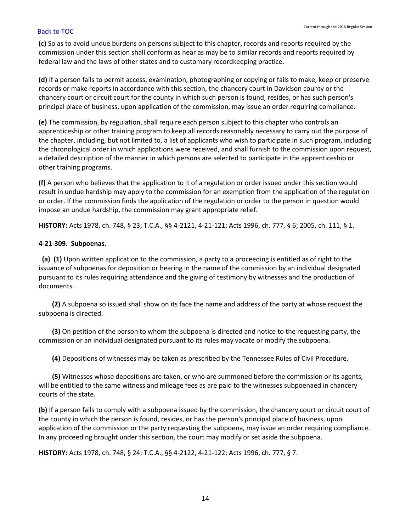**(c)** So as to avoid undue burdens on persons subject to this chapter, records and reports required by the commission under this section shall conform as near as may be to similar records and reports required by federal law and the laws of other states and to customary recordkeeping practice.

**(d)** If a person fails to permit access, examination, photographing or copying or fails to make, keep or preserve records or make reports in accordance with this section, the chancery court in Davidson county or the chancery court or circuit court for the county in which such person is found, resides, or has such person's principal place of business, upon application of the commission, may issue an order requiring compliance.

**(e)** The commission, by regulation, shall require each person subject to this chapter who controls an apprenticeship or other training program to keep all records reasonably necessary to carry out the purpose of the chapter, including, but not limited to, a list of applicants who wish to participate in such program, including the chronological order in which applications were received, and shall furnish to the commission upon request, a detailed description of the manner in which persons are selected to participate in the apprenticeship or other training programs.

**(f)** A person who believes that the application to it of a regulation or order issued under this section would result in undue hardship may apply to the commission for an exemption from the application of the regulation or order. If the commission finds the application of the regulation or order to the person in question would impose an undue hardship, the commission may grant appropriate relief.

**HISTORY:** Acts 1978, ch. 748, § 23; T.C.A., §§ 4-2121, 4-21-121; Acts 1996, ch. 777, § 6; 2005, ch. 111, § 1.

## <span id="page-15-0"></span>**4-21-309. Subpoenas.**

 **(a) (1)** Upon written application to the commission, a party to a proceeding is entitled as of right to the issuance of subpoenas for deposition or hearing in the name of the commission by an individual designated pursuant to its rules requiring attendance and the giving of testimony by witnesses and the production of documents.

 **(2)** A subpoena so issued shall show on its face the name and address of the party at whose request the subpoena is directed.

 **(3)** On petition of the person to whom the subpoena is directed and notice to the requesting party, the commission or an individual designated pursuant to its rules may vacate or modify the subpoena.

**(4)** Depositions of witnesses may be taken as prescribed by the Tennessee Rules of Civil Procedure.

 **(5)** Witnesses whose depositions are taken, or who are summoned before the commission or its agents, will be entitled to the same witness and mileage fees as are paid to the witnesses subpoenaed in chancery courts of the state.

**(b)** If a person fails to comply with a subpoena issued by the commission, the chancery court or circuit court of the county in which the person is found, resides, or has the person's principal place of business, upon application of the commission or the party requesting the subpoena, may issue an order requiring compliance. In any proceeding brought under this section, the court may modify or set aside the subpoena.

<span id="page-15-1"></span>**HISTORY:** Acts 1978, ch. 748, § 24; T.C.A., §§ 4-2122, 4-21-122; Acts 1996, ch. 777, § 7.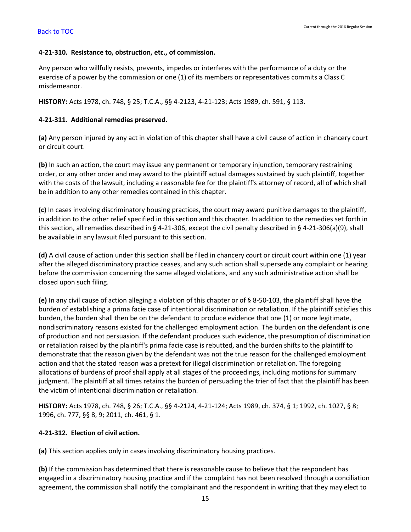## **4-21-310. Resistance to, obstruction, etc., of commission.**

Any person who willfully resists, prevents, impedes or interferes with the performance of a duty or the exercise of a power by the commission or one (1) of its members or representatives commits a Class C misdemeanor.

<span id="page-16-0"></span>**HISTORY:** Acts 1978, ch. 748, § 25; T.C.A., §§ 4-2123, 4-21-123; Acts 1989, ch. 591, § 113.

## **4-21-311. Additional remedies preserved.**

**(a)** Any person injured by any act in violation of this chapter shall have a civil cause of action in chancery court or circuit court.

**(b)** In such an action, the court may issue any permanent or temporary injunction, temporary restraining order, or any other order and may award to the plaintiff actual damages sustained by such plaintiff, together with the costs of the lawsuit, including a reasonable fee for the plaintiff's attorney of record, all of which shall be in addition to any other remedies contained in this chapter.

**(c)** In cases involving discriminatory housing practices, the court may award punitive damages to the plaintiff, in addition to the other relief specified in this section and this chapter. In addition to the remedies set forth in this section, all remedies described in § 4-21-306, except the civil penalty described in § 4-21-306(a)(9), shall be available in any lawsuit filed pursuant to this section.

**(d)** A civil cause of action under this section shall be filed in chancery court or circuit court within one (1) year after the alleged discriminatory practice ceases, and any such action shall supersede any complaint or hearing before the commission concerning the same alleged violations, and any such administrative action shall be closed upon such filing.

**(e)** In any civil cause of action alleging a violation of this chapter or of § 8-50-103, the plaintiff shall have the burden of establishing a prima facie case of intentional discrimination or retaliation. If the plaintiff satisfies this burden, the burden shall then be on the defendant to produce evidence that one (1) or more legitimate, nondiscriminatory reasons existed for the challenged employment action. The burden on the defendant is one of production and not persuasion. If the defendant produces such evidence, the presumption of discrimination or retaliation raised by the plaintiff's prima facie case is rebutted, and the burden shifts to the plaintiff to demonstrate that the reason given by the defendant was not the true reason for the challenged employment action and that the stated reason was a pretext for illegal discrimination or retaliation. The foregoing allocations of burdens of proof shall apply at all stages of the proceedings, including motions for summary judgment. The plaintiff at all times retains the burden of persuading the trier of fact that the plaintiff has been the victim of intentional discrimination or retaliation.

**HISTORY:** Acts 1978, ch. 748, § 26; T.C.A., §§ 4-2124, 4-21-124; Acts 1989, ch. 374, § 1; 1992, ch. 1027, § 8; 1996, ch. 777, §§ 8, 9; 2011, ch. 461, § 1.

# <span id="page-16-1"></span>**4-21-312. Election of civil action.**

**(a)** This section applies only in cases involving discriminatory housing practices.

**(b)** If the commission has determined that there is reasonable cause to believe that the respondent has engaged in a discriminatory housing practice and if the complaint has not been resolved through a conciliation agreement, the commission shall notify the complainant and the respondent in writing that they may elect to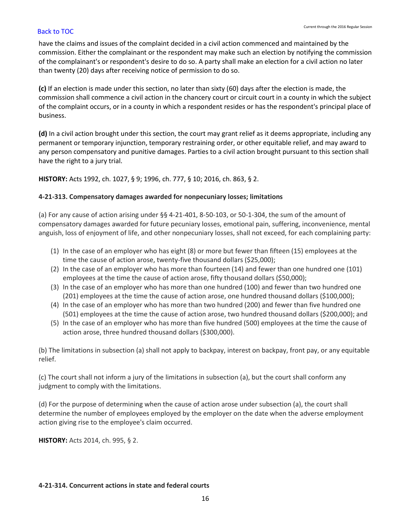have the claims and issues of the complaint decided in a civil action commenced and maintained by the commission. Either the complainant or the respondent may make such an election by notifying the commission of the complainant's or respondent's desire to do so. A party shall make an election for a civil action no later than twenty (20) days after receiving notice of permission to do so.

**(c)** If an election is made under this section, no later than sixty (60) days after the election is made, the commission shall commence a civil action in the chancery court or circuit court in a county in which the subject of the complaint occurs, or in a county in which a respondent resides or has the respondent's principal place of business.

**(d)** In a civil action brought under this section, the court may grant relief as it deems appropriate, including any permanent or temporary injunction, temporary restraining order, or other equitable relief, and may award to any person compensatory and punitive damages. Parties to a civil action brought pursuant to this section shall have the right to a jury trial.

**HISTORY:** Acts 1992, ch. 1027, § 9; 1996, ch. 777, § 10; 2016, ch. 863, § 2.

## <span id="page-17-0"></span>**4-21-313. Compensatory damages awarded for nonpecuniary losses; limitations**

(a) For any cause of action arising under §§ 4-21-401, 8-50-103, or 50-1-304, the sum of the amount of compensatory damages awarded for future pecuniary losses, emotional pain, suffering, inconvenience, mental anguish, loss of enjoyment of life, and other nonpecuniary losses, shall not exceed, for each complaining party:

- (1) In the case of an employer who has eight (8) or more but fewer than fifteen (15) employees at the time the cause of action arose, twenty-five thousand dollars (\$25,000);
- (2) In the case of an employer who has more than fourteen (14) and fewer than one hundred one (101) employees at the time the cause of action arose, fifty thousand dollars (\$50,000);
- (3) In the case of an employer who has more than one hundred (100) and fewer than two hundred one (201) employees at the time the cause of action arose, one hundred thousand dollars (\$100,000);
- (4) In the case of an employer who has more than two hundred (200) and fewer than five hundred one (501) employees at the time the cause of action arose, two hundred thousand dollars (\$200,000); and
- (5) In the case of an employer who has more than five hundred (500) employees at the time the cause of action arose, three hundred thousand dollars (\$300,000).

(b) The limitations in subsection (a) shall not apply to backpay, interest on backpay, front pay, or any equitable relief.

(c) The court shall not inform a jury of the limitations in subsection (a), but the court shall conform any judgment to comply with the limitations.

(d) For the purpose of determining when the cause of action arose under subsection (a), the court shall determine the number of employees employed by the employer on the date when the adverse employment action giving rise to the employee's claim occurred.

**HISTORY:** Acts 2014, ch. 995, § 2.

### <span id="page-17-1"></span>**4-21-314. Concurrent actions in state and federal courts**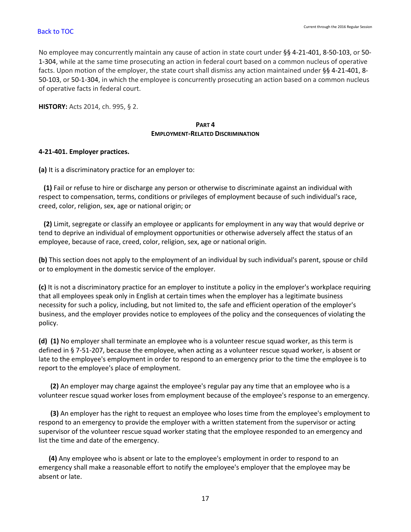No employee may concurrently maintain any cause of action in state court under §§ 4-21-401, 8-50-103, or 50- 1-304, while at the same time prosecuting an action in federal court based on a common nucleus of operative facts. Upon motion of the employer, the state court shall dismiss any action maintained under §§ 4-21-401, 8- 50-103, or 50-1-304, in which the employee is concurrently prosecuting an action based on a common nucleus of operative facts in federal court.

**HISTORY:** Acts 2014, ch. 995, § 2.

# **PART 4 EMPLOYMENT-RELATED DISCRIMINATION**

# <span id="page-18-0"></span>**4-21-401. Employer practices.**

**(a)** It is a discriminatory practice for an employer to:

 **(1)** Fail or refuse to hire or discharge any person or otherwise to discriminate against an individual with respect to compensation, terms, conditions or privileges of employment because of such individual's race, creed, color, religion, sex, age or national origin; or

 **(2)** Limit, segregate or classify an employee or applicants for employment in any way that would deprive or tend to deprive an individual of employment opportunities or otherwise adversely affect the status of an employee, because of race, creed, color, religion, sex, age or national origin.

**(b)** This section does not apply to the employment of an individual by such individual's parent, spouse or child or to employment in the domestic service of the employer.

**(c)** It is not a discriminatory practice for an employer to institute a policy in the employer's workplace requiring that all employees speak only in English at certain times when the employer has a legitimate business necessity for such a policy, including, but not limited to, the safe and efficient operation of the employer's business, and the employer provides notice to employees of the policy and the consequences of violating the policy.

**(d) (1)** No employer shall terminate an employee who is a volunteer rescue squad worker, as this term is defined in § 7-51-207, because the employee, when acting as a volunteer rescue squad worker, is absent or late to the employee's employment in order to respond to an emergency prior to the time the employee is to report to the employee's place of employment.

 **(2)** An employer may charge against the employee's regular pay any time that an employee who is a volunteer rescue squad worker loses from employment because of the employee's response to an emergency.

 **(3)** An employer has the right to request an employee who loses time from the employee's employment to respond to an emergency to provide the employer with a written statement from the supervisor or acting supervisor of the volunteer rescue squad worker stating that the employee responded to an emergency and list the time and date of the emergency.

 **(4)** Any employee who is absent or late to the employee's employment in order to respond to an emergency shall make a reasonable effort to notify the employee's employer that the employee may be absent or late.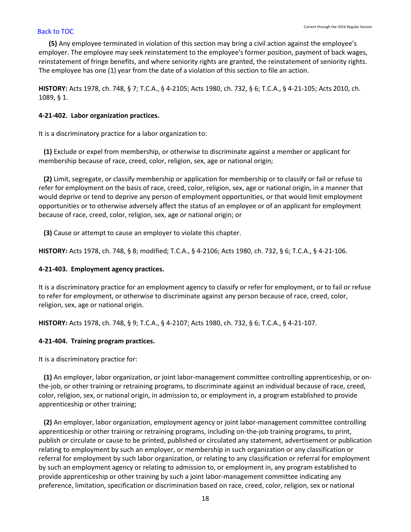**(5)** Any employee terminated in violation of this section may bring a civil action against the employee's employer. The employee may seek reinstatement to the employee's former position, payment of back wages, reinstatement of fringe benefits, and where seniority rights are granted, the reinstatement of seniority rights. The employee has one (1) year from the date of a violation of this section to file an action.

**HISTORY:** Acts 1978, ch. 748, § 7; T.C.A., § 4-2105; Acts 1980, ch. 732, § 6; T.C.A., § 4-21-105; Acts 2010, ch. 1089, § 1.

### <span id="page-19-0"></span>**4-21-402. Labor organization practices.**

It is a discriminatory practice for a labor organization to:

 **(1)** Exclude or expel from membership, or otherwise to discriminate against a member or applicant for membership because of race, creed, color, religion, sex, age or national origin;

 **(2)** Limit, segregate, or classify membership or application for membership or to classify or fail or refuse to refer for employment on the basis of race, creed, color, religion, sex, age or national origin, in a manner that would deprive or tend to deprive any person of employment opportunities, or that would limit employment opportunities or to otherwise adversely affect the status of an employee or of an applicant for employment because of race, creed, color, religion, sex, age or national origin; or

**(3)** Cause or attempt to cause an employer to violate this chapter.

**HISTORY:** Acts 1978, ch. 748, § 8; modified; T.C.A., § 4-2106; Acts 1980, ch. 732, § 6; T.C.A., § 4-21-106.

#### <span id="page-19-1"></span>**4-21-403. Employment agency practices.**

It is a discriminatory practice for an employment agency to classify or refer for employment, or to fail or refuse to refer for employment, or otherwise to discriminate against any person because of race, creed, color, religion, sex, age or national origin.

**HISTORY:** Acts 1978, ch. 748, § 9; T.C.A., § 4-2107; Acts 1980, ch. 732, § 6; T.C.A., § 4-21-107.

### <span id="page-19-2"></span>**4-21-404. Training program practices.**

It is a discriminatory practice for:

 **(1)** An employer, labor organization, or joint labor-management committee controlling apprenticeship, or onthe-job, or other training or retraining programs, to discriminate against an individual because of race, creed, color, religion, sex, or national origin, in admission to, or employment in, a program established to provide apprenticeship or other training;

 **(2)** An employer, labor organization, employment agency or joint labor-management committee controlling apprenticeship or other training or retraining programs, including on-the-job training programs, to print, publish or circulate or cause to be printed, published or circulated any statement, advertisement or publication relating to employment by such an employer, or membership in such organization or any classification or referral for employment by such labor organization, or relating to any classification or referral for employment by such an employment agency or relating to admission to, or employment in, any program established to provide apprenticeship or other training by such a joint labor-management committee indicating any preference, limitation, specification or discrimination based on race, creed, color, religion, sex or national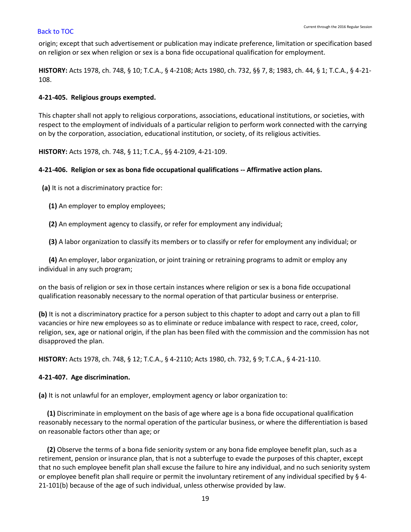origin; except that such advertisement or publication may indicate preference, limitation or specification based on religion or sex when religion or sex is a bona fide occupational qualification for employment.

**HISTORY:** Acts 1978, ch. 748, § 10; T.C.A., § 4-2108; Acts 1980, ch. 732, §§ 7, 8; 1983, ch. 44, § 1; T.C.A., § 4-21- 108.

# <span id="page-20-0"></span>**4-21-405. Religious groups exempted.**

This chapter shall not apply to religious corporations, associations, educational institutions, or societies, with respect to the employment of individuals of a particular religion to perform work connected with the carrying on by the corporation, association, educational institution, or society, of its religious activities.

**HISTORY:** Acts 1978, ch. 748, § 11; T.C.A., §§ 4-2109, 4-21-109.

# <span id="page-20-1"></span>**4-21-406. Religion or sex as bona fide occupational qualifications -- Affirmative action plans.**

**(a)** It is not a discriminatory practice for:

- **(1)** An employer to employ employees;
- **(2)** An employment agency to classify, or refer for employment any individual;

**(3)** A labor organization to classify its members or to classify or refer for employment any individual; or

 **(4)** An employer, labor organization, or joint training or retraining programs to admit or employ any individual in any such program;

on the basis of religion or sex in those certain instances where religion or sex is a bona fide occupational qualification reasonably necessary to the normal operation of that particular business or enterprise.

**(b)** It is not a discriminatory practice for a person subject to this chapter to adopt and carry out a plan to fill vacancies or hire new employees so as to eliminate or reduce imbalance with respect to race, creed, color, religion, sex, age or national origin, if the plan has been filed with the commission and the commission has not disapproved the plan.

**HISTORY:** Acts 1978, ch. 748, § 12; T.C.A., § 4-2110; Acts 1980, ch. 732, § 9; T.C.A., § 4-21-110.

# <span id="page-20-2"></span>**4-21-407. Age discrimination.**

**(a)** It is not unlawful for an employer, employment agency or labor organization to:

 **(1)** Discriminate in employment on the basis of age where age is a bona fide occupational qualification reasonably necessary to the normal operation of the particular business, or where the differentiation is based on reasonable factors other than age; or

 **(2)** Observe the terms of a bona fide seniority system or any bona fide employee benefit plan, such as a retirement, pension or insurance plan, that is not a subterfuge to evade the purposes of this chapter, except that no such employee benefit plan shall excuse the failure to hire any individual, and no such seniority system or employee benefit plan shall require or permit the involuntary retirement of any individual specified by § 4- 21-101(b) because of the age of such individual, unless otherwise provided by law.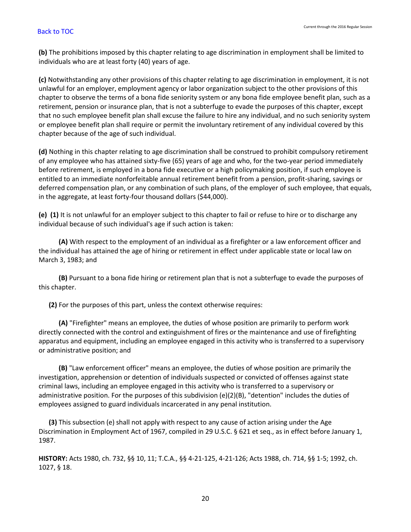**(b)** The prohibitions imposed by this chapter relating to age discrimination in employment shall be limited to individuals who are at least forty (40) years of age.

**(c)** Notwithstanding any other provisions of this chapter relating to age discrimination in employment, it is not unlawful for an employer, employment agency or labor organization subject to the other provisions of this chapter to observe the terms of a bona fide seniority system or any bona fide employee benefit plan, such as a retirement, pension or insurance plan, that is not a subterfuge to evade the purposes of this chapter, except that no such employee benefit plan shall excuse the failure to hire any individual, and no such seniority system or employee benefit plan shall require or permit the involuntary retirement of any individual covered by this chapter because of the age of such individual.

**(d)** Nothing in this chapter relating to age discrimination shall be construed to prohibit compulsory retirement of any employee who has attained sixty-five (65) years of age and who, for the two-year period immediately before retirement, is employed in a bona fide executive or a high policymaking position, if such employee is entitled to an immediate nonforfeitable annual retirement benefit from a pension, profit-sharing, savings or deferred compensation plan, or any combination of such plans, of the employer of such employee, that equals, in the aggregate, at least forty-four thousand dollars (\$44,000).

**(e) (1)** It is not unlawful for an employer subject to this chapter to fail or refuse to hire or to discharge any individual because of such individual's age if such action is taken:

 **(A)** With respect to the employment of an individual as a firefighter or a law enforcement officer and the individual has attained the age of hiring or retirement in effect under applicable state or local law on March 3, 1983; and

 **(B)** Pursuant to a bona fide hiring or retirement plan that is not a subterfuge to evade the purposes of this chapter.

**(2)** For the purposes of this part, unless the context otherwise requires:

 **(A)** "Firefighter" means an employee, the duties of whose position are primarily to perform work directly connected with the control and extinguishment of fires or the maintenance and use of firefighting apparatus and equipment, including an employee engaged in this activity who is transferred to a supervisory or administrative position; and

 **(B)** "Law enforcement officer" means an employee, the duties of whose position are primarily the investigation, apprehension or detention of individuals suspected or convicted of offenses against state criminal laws, including an employee engaged in this activity who is transferred to a supervisory or administrative position. For the purposes of this subdivision (e)(2)(B), "detention" includes the duties of employees assigned to guard individuals incarcerated in any penal institution.

 **(3)** This subsection (e) shall not apply with respect to any cause of action arising under the Age Discrimination in Employment Act of 1967, compiled in 29 U.S.C. § 621 et seq., as in effect before January 1, 1987.

**HISTORY:** Acts 1980, ch. 732, §§ 10, 11; T.C.A., §§ 4-21-125, 4-21-126; Acts 1988, ch. 714, §§ 1-5; 1992, ch. 1027, § 18.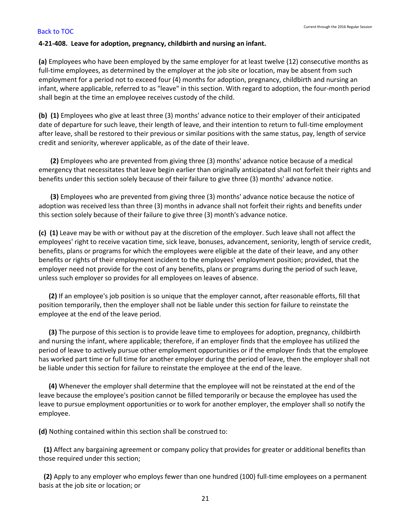### <span id="page-22-0"></span>**4-21-408. Leave for adoption, pregnancy, childbirth and nursing an infant.**

**(a)** Employees who have been employed by the same employer for at least twelve (12) consecutive months as full-time employees, as determined by the employer at the job site or location, may be absent from such employment for a period not to exceed four (4) months for adoption, pregnancy, childbirth and nursing an infant, where applicable, referred to as "leave" in this section. With regard to adoption, the four-month period shall begin at the time an employee receives custody of the child.

**(b) (1)** Employees who give at least three (3) months' advance notice to their employer of their anticipated date of departure for such leave, their length of leave, and their intention to return to full-time employment after leave, shall be restored to their previous or similar positions with the same status, pay, length of service credit and seniority, wherever applicable, as of the date of their leave.

 **(2)** Employees who are prevented from giving three (3) months' advance notice because of a medical emergency that necessitates that leave begin earlier than originally anticipated shall not forfeit their rights and benefits under this section solely because of their failure to give three (3) months' advance notice.

 **(3)** Employees who are prevented from giving three (3) months' advance notice because the notice of adoption was received less than three (3) months in advance shall not forfeit their rights and benefits under this section solely because of their failure to give three (3) month's advance notice.

**(c) (1)** Leave may be with or without pay at the discretion of the employer. Such leave shall not affect the employees' right to receive vacation time, sick leave, bonuses, advancement, seniority, length of service credit, benefits, plans or programs for which the employees were eligible at the date of their leave, and any other benefits or rights of their employment incident to the employees' employment position; provided, that the employer need not provide for the cost of any benefits, plans or programs during the period of such leave, unless such employer so provides for all employees on leaves of absence.

 **(2)** If an employee's job position is so unique that the employer cannot, after reasonable efforts, fill that position temporarily, then the employer shall not be liable under this section for failure to reinstate the employee at the end of the leave period.

 **(3)** The purpose of this section is to provide leave time to employees for adoption, pregnancy, childbirth and nursing the infant, where applicable; therefore, if an employer finds that the employee has utilized the period of leave to actively pursue other employment opportunities or if the employer finds that the employee has worked part time or full time for another employer during the period of leave, then the employer shall not be liable under this section for failure to reinstate the employee at the end of the leave.

 **(4)** Whenever the employer shall determine that the employee will not be reinstated at the end of the leave because the employee's position cannot be filled temporarily or because the employee has used the leave to pursue employment opportunities or to work for another employer, the employer shall so notify the employee.

**(d)** Nothing contained within this section shall be construed to:

 **(1)** Affect any bargaining agreement or company policy that provides for greater or additional benefits than those required under this section;

 **(2)** Apply to any employer who employs fewer than one hundred (100) full-time employees on a permanent basis at the job site or location; or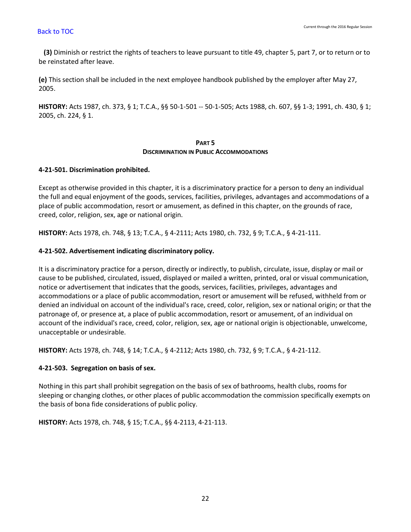**(3)** Diminish or restrict the rights of teachers to leave pursuant to title 49, chapter 5, part 7, or to return or to be reinstated after leave.

**(e)** This section shall be included in the next employee handbook published by the employer after May 27, 2005.

**HISTORY:** Acts 1987, ch. 373, § 1; T.C.A., §§ 50-1-501 -- 50-1-505; Acts 1988, ch. 607, §§ 1-3; 1991, ch. 430, § 1; 2005, ch. 224, § 1.

# **PART 5 DISCRIMINATION IN PUBLIC ACCOMMODATIONS**

# <span id="page-23-0"></span>**4-21-501. Discrimination prohibited.**

Except as otherwise provided in this chapter, it is a discriminatory practice for a person to deny an individual the full and equal enjoyment of the goods, services, facilities, privileges, advantages and accommodations of a place of public accommodation, resort or amusement, as defined in this chapter, on the grounds of race, creed, color, religion, sex, age or national origin.

**HISTORY:** Acts 1978, ch. 748, § 13; T.C.A., § 4-2111; Acts 1980, ch. 732, § 9; T.C.A., § 4-21-111.

# <span id="page-23-1"></span>**4-21-502. Advertisement indicating discriminatory policy.**

It is a discriminatory practice for a person, directly or indirectly, to publish, circulate, issue, display or mail or cause to be published, circulated, issued, displayed or mailed a written, printed, oral or visual communication, notice or advertisement that indicates that the goods, services, facilities, privileges, advantages and accommodations or a place of public accommodation, resort or amusement will be refused, withheld from or denied an individual on account of the individual's race, creed, color, religion, sex or national origin; or that the patronage of, or presence at, a place of public accommodation, resort or amusement, of an individual on account of the individual's race, creed, color, religion, sex, age or national origin is objectionable, unwelcome, unacceptable or undesirable.

**HISTORY:** Acts 1978, ch. 748, § 14; T.C.A., § 4-2112; Acts 1980, ch. 732, § 9; T.C.A., § 4-21-112.

# <span id="page-23-2"></span>**4-21-503. Segregation on basis of sex.**

Nothing in this part shall prohibit segregation on the basis of sex of bathrooms, health clubs, rooms for sleeping or changing clothes, or other places of public accommodation the commission specifically exempts on the basis of bona fide considerations of public policy.

**HISTORY:** Acts 1978, ch. 748, § 15; T.C.A., §§ 4-2113, 4-21-113.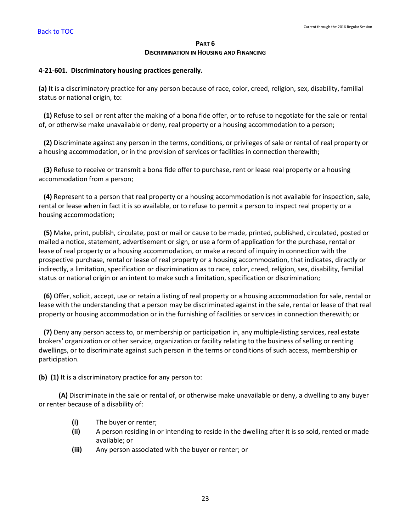### **PART 6 DISCRIMINATION IN HOUSING AND FINANCING**

## <span id="page-24-0"></span>**4-21-601. Discriminatory housing practices generally.**

**(a)** It is a discriminatory practice for any person because of race, color, creed, religion, sex, disability, familial status or national origin, to:

 **(1)** Refuse to sell or rent after the making of a bona fide offer, or to refuse to negotiate for the sale or rental of, or otherwise make unavailable or deny, real property or a housing accommodation to a person;

 **(2)** Discriminate against any person in the terms, conditions, or privileges of sale or rental of real property or a housing accommodation, or in the provision of services or facilities in connection therewith;

 **(3)** Refuse to receive or transmit a bona fide offer to purchase, rent or lease real property or a housing accommodation from a person;

 **(4)** Represent to a person that real property or a housing accommodation is not available for inspection, sale, rental or lease when in fact it is so available, or to refuse to permit a person to inspect real property or a housing accommodation;

 **(5)** Make, print, publish, circulate, post or mail or cause to be made, printed, published, circulated, posted or mailed a notice, statement, advertisement or sign, or use a form of application for the purchase, rental or lease of real property or a housing accommodation, or make a record of inquiry in connection with the prospective purchase, rental or lease of real property or a housing accommodation, that indicates, directly or indirectly, a limitation, specification or discrimination as to race, color, creed, religion, sex, disability, familial status or national origin or an intent to make such a limitation, specification or discrimination;

 **(6)** Offer, solicit, accept, use or retain a listing of real property or a housing accommodation for sale, rental or lease with the understanding that a person may be discriminated against in the sale, rental or lease of that real property or housing accommodation or in the furnishing of facilities or services in connection therewith; or

 **(7)** Deny any person access to, or membership or participation in, any multiple-listing services, real estate brokers' organization or other service, organization or facility relating to the business of selling or renting dwellings, or to discriminate against such person in the terms or conditions of such access, membership or participation.

**(b) (1)** It is a discriminatory practice for any person to:

 **(A)** Discriminate in the sale or rental of, or otherwise make unavailable or deny, a dwelling to any buyer or renter because of a disability of:

- **(i)** The buyer or renter;
- **(ii)** A person residing in or intending to reside in the dwelling after it is so sold, rented or made available; or
- **(iii)** Any person associated with the buyer or renter; or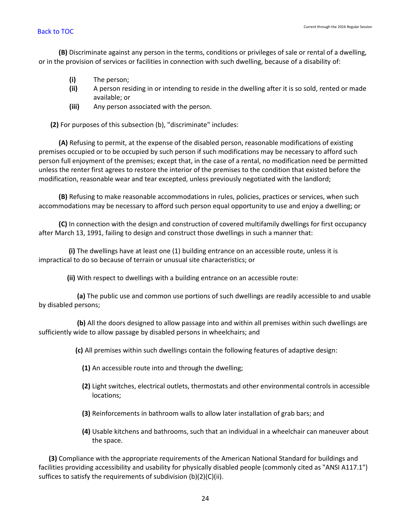**(B)** Discriminate against any person in the terms, conditions or privileges of sale or rental of a dwelling, or in the provision of services or facilities in connection with such dwelling, because of a disability of:

- **(i)** The person;
- **(ii)** A person residing in or intending to reside in the dwelling after it is so sold, rented or made available; or
- **(iii)** Any person associated with the person.

**(2)** For purposes of this subsection (b), "discriminate" includes:

 **(A)** Refusing to permit, at the expense of the disabled person, reasonable modifications of existing premises occupied or to be occupied by such person if such modifications may be necessary to afford such person full enjoyment of the premises; except that, in the case of a rental, no modification need be permitted unless the renter first agrees to restore the interior of the premises to the condition that existed before the modification, reasonable wear and tear excepted, unless previously negotiated with the landlord;

 **(B)** Refusing to make reasonable accommodations in rules, policies, practices or services, when such accommodations may be necessary to afford such person equal opportunity to use and enjoy a dwelling; or

 **(C)** In connection with the design and construction of covered multifamily dwellings for first occupancy after March 13, 1991, failing to design and construct those dwellings in such a manner that:

 **(i)** The dwellings have at least one (1) building entrance on an accessible route, unless it is impractical to do so because of terrain or unusual site characteristics; or

**(ii)** With respect to dwellings with a building entrance on an accessible route:

 **(a)** The public use and common use portions of such dwellings are readily accessible to and usable by disabled persons;

 **(b)** All the doors designed to allow passage into and within all premises within such dwellings are sufficiently wide to allow passage by disabled persons in wheelchairs; and

**(c)** All premises within such dwellings contain the following features of adaptive design:

- **(1)** An accessible route into and through the dwelling;
- **(2)** Light switches, electrical outlets, thermostats and other environmental controls in accessible locations;
- **(3)** Reinforcements in bathroom walls to allow later installation of grab bars; and
- **(4)** Usable kitchens and bathrooms, such that an individual in a wheelchair can maneuver about the space.

 **(3)** Compliance with the appropriate requirements of the American National Standard for buildings and facilities providing accessibility and usability for physically disabled people (commonly cited as "ANSI A117.1") suffices to satisfy the requirements of subdivision (b)(2)(C)(ii).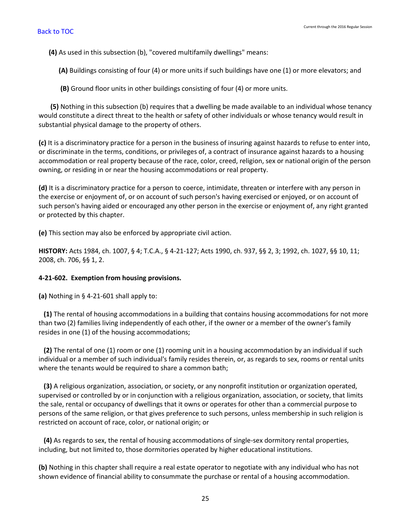**(4)** As used in this subsection (b), "covered multifamily dwellings" means:

**(A)** Buildings consisting of four (4) or more units if such buildings have one (1) or more elevators; and

**(B)** Ground floor units in other buildings consisting of four (4) or more units.

 **(5)** Nothing in this subsection (b) requires that a dwelling be made available to an individual whose tenancy would constitute a direct threat to the health or safety of other individuals or whose tenancy would result in substantial physical damage to the property of others.

**(c)** It is a discriminatory practice for a person in the business of insuring against hazards to refuse to enter into, or discriminate in the terms, conditions, or privileges of, a contract of insurance against hazards to a housing accommodation or real property because of the race, color, creed, religion, sex or national origin of the person owning, or residing in or near the housing accommodations or real property.

**(d)** It is a discriminatory practice for a person to coerce, intimidate, threaten or interfere with any person in the exercise or enjoyment of, or on account of such person's having exercised or enjoyed, or on account of such person's having aided or encouraged any other person in the exercise or enjoyment of, any right granted or protected by this chapter.

**(e)** This section may also be enforced by appropriate civil action.

**HISTORY:** Acts 1984, ch. 1007, § 4; T.C.A., § 4-21-127; Acts 1990, ch. 937, §§ 2, 3; 1992, ch. 1027, §§ 10, 11; 2008, ch. 706, §§ 1, 2.

### <span id="page-26-0"></span>**4-21-602. Exemption from housing provisions.**

**(a)** Nothing in § 4-21-601 shall apply to:

 **(1)** The rental of housing accommodations in a building that contains housing accommodations for not more than two (2) families living independently of each other, if the owner or a member of the owner's family resides in one (1) of the housing accommodations;

 **(2)** The rental of one (1) room or one (1) rooming unit in a housing accommodation by an individual if such individual or a member of such individual's family resides therein, or, as regards to sex, rooms or rental units where the tenants would be required to share a common bath;

 **(3)** A religious organization, association, or society, or any nonprofit institution or organization operated, supervised or controlled by or in conjunction with a religious organization, association, or society, that limits the sale, rental or occupancy of dwellings that it owns or operates for other than a commercial purpose to persons of the same religion, or that gives preference to such persons, unless membership in such religion is restricted on account of race, color, or national origin; or

 **(4)** As regards to sex, the rental of housing accommodations of single-sex dormitory rental properties, including, but not limited to, those dormitories operated by higher educational institutions.

**(b)** Nothing in this chapter shall require a real estate operator to negotiate with any individual who has not shown evidence of financial ability to consummate the purchase or rental of a housing accommodation.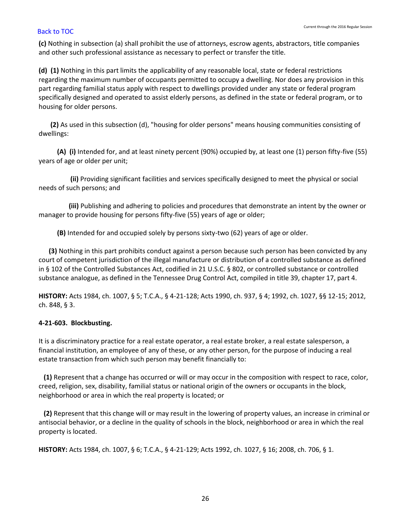**(c)** Nothing in subsection (a) shall prohibit the use of attorneys, escrow agents, abstractors, title companies and other such professional assistance as necessary to perfect or transfer the title.

**(d) (1)** Nothing in this part limits the applicability of any reasonable local, state or federal restrictions regarding the maximum number of occupants permitted to occupy a dwelling. Nor does any provision in this part regarding familial status apply with respect to dwellings provided under any state or federal program specifically designed and operated to assist elderly persons, as defined in the state or federal program, or to housing for older persons.

 **(2)** As used in this subsection (d), "housing for older persons" means housing communities consisting of dwellings:

 **(A) (i)** Intended for, and at least ninety percent (90%) occupied by, at least one (1) person fifty-five (55) years of age or older per unit;

 **(ii)** Providing significant facilities and services specifically designed to meet the physical or social needs of such persons; and

 **(iii)** Publishing and adhering to policies and procedures that demonstrate an intent by the owner or manager to provide housing for persons fifty-five (55) years of age or older;

**(B)** Intended for and occupied solely by persons sixty-two (62) years of age or older.

 **(3)** Nothing in this part prohibits conduct against a person because such person has been convicted by any court of competent jurisdiction of the illegal manufacture or distribution of a controlled substance as defined in § 102 of the Controlled Substances Act, codified in 21 U.S.C. § 802, or controlled substance or controlled substance analogue, as defined in the Tennessee Drug Control Act, compiled in title 39, chapter 17, part 4.

**HISTORY:** Acts 1984, ch. 1007, § 5; T.C.A., § 4-21-128; Acts 1990, ch. 937, § 4; 1992, ch. 1027, §§ 12-15; 2012, ch. 848, § 3.

# <span id="page-27-0"></span>**4-21-603. Blockbusting.**

It is a discriminatory practice for a real estate operator, a real estate broker, a real estate salesperson, a financial institution, an employee of any of these, or any other person, for the purpose of inducing a real estate transaction from which such person may benefit financially to:

 **(1)** Represent that a change has occurred or will or may occur in the composition with respect to race, color, creed, religion, sex, disability, familial status or national origin of the owners or occupants in the block, neighborhood or area in which the real property is located; or

 **(2)** Represent that this change will or may result in the lowering of property values, an increase in criminal or antisocial behavior, or a decline in the quality of schools in the block, neighborhood or area in which the real property is located.

**HISTORY:** Acts 1984, ch. 1007, § 6; T.C.A., § 4-21-129; Acts 1992, ch. 1027, § 16; 2008, ch. 706, § 1.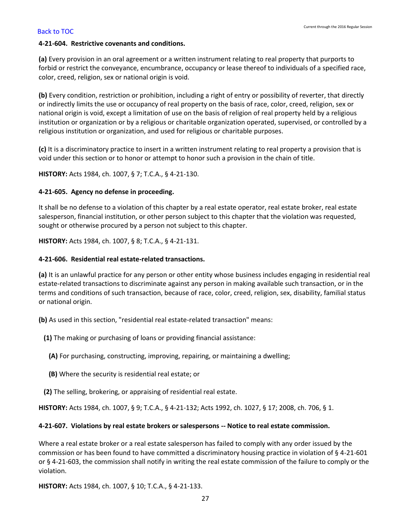## <span id="page-28-0"></span>**4-21-604. Restrictive covenants and conditions.**

**(a)** Every provision in an oral agreement or a written instrument relating to real property that purports to forbid or restrict the conveyance, encumbrance, occupancy or lease thereof to individuals of a specified race, color, creed, religion, sex or national origin is void.

**(b)** Every condition, restriction or prohibition, including a right of entry or possibility of reverter, that directly or indirectly limits the use or occupancy of real property on the basis of race, color, creed, religion, sex or national origin is void, except a limitation of use on the basis of religion of real property held by a religious institution or organization or by a religious or charitable organization operated, supervised, or controlled by a religious institution or organization, and used for religious or charitable purposes.

**(c)** It is a discriminatory practice to insert in a written instrument relating to real property a provision that is void under this section or to honor or attempt to honor such a provision in the chain of title.

**HISTORY:** Acts 1984, ch. 1007, § 7; T.C.A., § 4-21-130.

## <span id="page-28-1"></span>**4-21-605. Agency no defense in proceeding.**

It shall be no defense to a violation of this chapter by a real estate operator, real estate broker, real estate salesperson, financial institution, or other person subject to this chapter that the violation was requested, sought or otherwise procured by a person not subject to this chapter.

**HISTORY:** Acts 1984, ch. 1007, § 8; T.C.A., § 4-21-131.

### <span id="page-28-2"></span>**4-21-606. Residential real estate-related transactions.**

**(a)** It is an unlawful practice for any person or other entity whose business includes engaging in residential real estate-related transactions to discriminate against any person in making available such transaction, or in the terms and conditions of such transaction, because of race, color, creed, religion, sex, disability, familial status or national origin.

**(b)** As used in this section, "residential real estate-related transaction" means:

- **(1)** The making or purchasing of loans or providing financial assistance:
	- **(A)** For purchasing, constructing, improving, repairing, or maintaining a dwelling;
	- **(B)** Where the security is residential real estate; or
- **(2)** The selling, brokering, or appraising of residential real estate.

**HISTORY:** Acts 1984, ch. 1007, § 9; T.C.A., § 4-21-132; Acts 1992, ch. 1027, § 17; 2008, ch. 706, § 1.

### <span id="page-28-3"></span>**4-21-607. Violations by real estate brokers or salespersons -- Notice to real estate commission.**

Where a real estate broker or a real estate salesperson has failed to comply with any order issued by the commission or has been found to have committed a discriminatory housing practice in violation of § 4-21-601 or § 4-21-603, the commission shall notify in writing the real estate commission of the failure to comply or the violation.

**HISTORY:** Acts 1984, ch. 1007, § 10; T.C.A., § 4-21-133.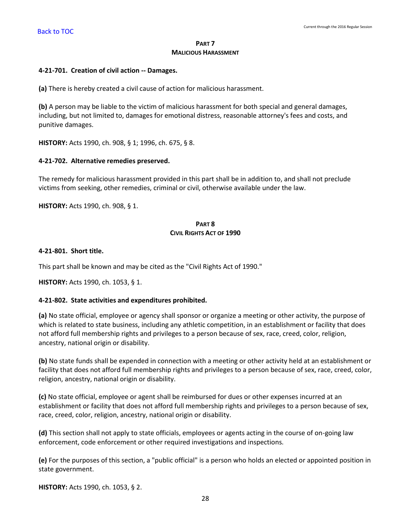## **PART 7 MALICIOUS HARASSMENT**

## <span id="page-29-0"></span>**4-21-701. Creation of civil action -- Damages.**

**(a)** There is hereby created a civil cause of action for malicious harassment.

**(b)** A person may be liable to the victim of malicious harassment for both special and general damages, including, but not limited to, damages for emotional distress, reasonable attorney's fees and costs, and punitive damages.

**HISTORY:** Acts 1990, ch. 908, § 1; 1996, ch. 675, § 8.

## <span id="page-29-1"></span>**4-21-702. Alternative remedies preserved.**

The remedy for malicious harassment provided in this part shall be in addition to, and shall not preclude victims from seeking, other remedies, criminal or civil, otherwise available under the law.

**HISTORY:** Acts 1990, ch. 908, § 1.

## **PART 8 CIVIL RIGHTS ACT OF 1990**

## <span id="page-29-2"></span>**4-21-801. Short title.**

This part shall be known and may be cited as the "Civil Rights Act of 1990."

**HISTORY:** Acts 1990, ch. 1053, § 1.

### <span id="page-29-3"></span>**4-21-802. State activities and expenditures prohibited.**

**(a)** No state official, employee or agency shall sponsor or organize a meeting or other activity, the purpose of which is related to state business, including any athletic competition, in an establishment or facility that does not afford full membership rights and privileges to a person because of sex, race, creed, color, religion, ancestry, national origin or disability.

**(b)** No state funds shall be expended in connection with a meeting or other activity held at an establishment or facility that does not afford full membership rights and privileges to a person because of sex, race, creed, color, religion, ancestry, national origin or disability.

**(c)** No state official, employee or agent shall be reimbursed for dues or other expenses incurred at an establishment or facility that does not afford full membership rights and privileges to a person because of sex, race, creed, color, religion, ancestry, national origin or disability.

**(d)** This section shall not apply to state officials, employees or agents acting in the course of on-going law enforcement, code enforcement or other required investigations and inspections.

**(e)** For the purposes of this section, a "public official" is a person who holds an elected or appointed position in state government.

**HISTORY:** Acts 1990, ch. 1053, § 2.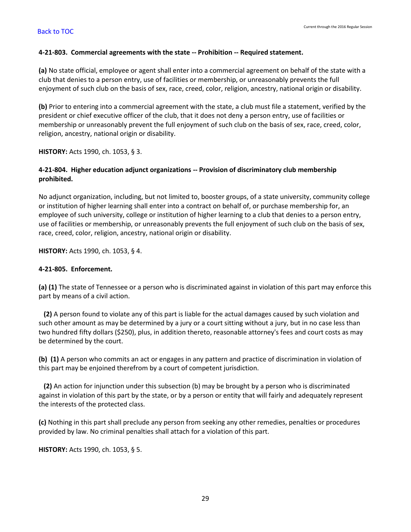### <span id="page-30-0"></span>**4-21-803. Commercial agreements with the state -- Prohibition -- Required statement.**

**(a)** No state official, employee or agent shall enter into a commercial agreement on behalf of the state with a club that denies to a person entry, use of facilities or membership, or unreasonably prevents the full enjoyment of such club on the basis of sex, race, creed, color, religion, ancestry, national origin or disability.

**(b)** Prior to entering into a commercial agreement with the state, a club must file a statement, verified by the president or chief executive officer of the club, that it does not deny a person entry, use of facilities or membership or unreasonably prevent the full enjoyment of such club on the basis of sex, race, creed, color, religion, ancestry, national origin or disability.

**HISTORY:** Acts 1990, ch. 1053, § 3.

# <span id="page-30-1"></span>**4-21-804. Higher education adjunct organizations -- Provision of discriminatory club membership prohibited.**

No adjunct organization, including, but not limited to, booster groups, of a state university, community college or institution of higher learning shall enter into a contract on behalf of, or purchase membership for, an employee of such university, college or institution of higher learning to a club that denies to a person entry, use of facilities or membership, or unreasonably prevents the full enjoyment of such club on the basis of sex, race, creed, color, religion, ancestry, national origin or disability.

**HISTORY:** Acts 1990, ch. 1053, § 4.

## <span id="page-30-2"></span>**4-21-805. Enforcement.**

**(a) (1)** The state of Tennessee or a person who is discriminated against in violation of this part may enforce this part by means of a civil action.

 **(2)** A person found to violate any of this part is liable for the actual damages caused by such violation and such other amount as may be determined by a jury or a court sitting without a jury, but in no case less than two hundred fifty dollars (\$250), plus, in addition thereto, reasonable attorney's fees and court costs as may be determined by the court.

**(b) (1)** A person who commits an act or engages in any pattern and practice of discrimination in violation of this part may be enjoined therefrom by a court of competent jurisdiction.

 **(2)** An action for injunction under this subsection (b) may be brought by a person who is discriminated against in violation of this part by the state, or by a person or entity that will fairly and adequately represent the interests of the protected class.

**(c)** Nothing in this part shall preclude any person from seeking any other remedies, penalties or procedures provided by law. No criminal penalties shall attach for a violation of this part.

**HISTORY:** Acts 1990, ch. 1053, § 5.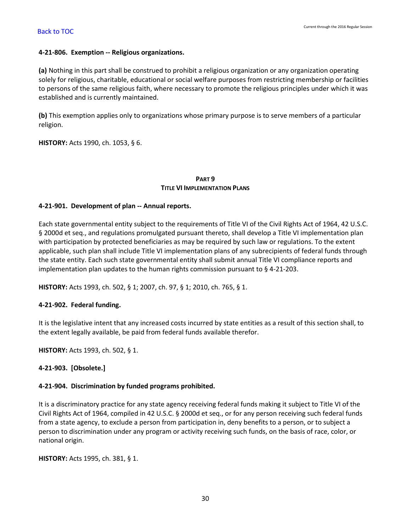## <span id="page-31-0"></span>**4-21-806. Exemption -- Religious organizations.**

**(a)** Nothing in this part shall be construed to prohibit a religious organization or any organization operating solely for religious, charitable, educational or social welfare purposes from restricting membership or facilities to persons of the same religious faith, where necessary to promote the religious principles under which it was established and is currently maintained.

**(b)** This exemption applies only to organizations whose primary purpose is to serve members of a particular religion.

**HISTORY:** Acts 1990, ch. 1053, § 6.

# **PART 9 TITLE VI IMPLEMENTATION PLANS**

## <span id="page-31-1"></span>**4-21-901. Development of plan -- Annual reports.**

Each state governmental entity subject to the requirements of Title VI of the Civil Rights Act of 1964, 42 U.S.C. § 2000d et seq., and regulations promulgated pursuant thereto, shall develop a Title VI implementation plan with participation by protected beneficiaries as may be required by such law or regulations. To the extent applicable, such plan shall include Title VI implementation plans of any subrecipients of federal funds through the state entity. Each such state governmental entity shall submit annual Title VI compliance reports and implementation plan updates to the human rights commission pursuant to § 4-21-203.

**HISTORY:** Acts 1993, ch. 502, § 1; 2007, ch. 97, § 1; 2010, ch. 765, § 1.

# <span id="page-31-2"></span>**4-21-902. Federal funding.**

It is the legislative intent that any increased costs incurred by state entities as a result of this section shall, to the extent legally available, be paid from federal funds available therefor.

**HISTORY:** Acts 1993, ch. 502, § 1.

<span id="page-31-3"></span>**4-21-903. [Obsolete.]**

# <span id="page-31-4"></span>**4-21-904. Discrimination by funded programs prohibited.**

It is a discriminatory practice for any state agency receiving federal funds making it subject to Title VI of the Civil Rights Act of 1964, compiled in 42 U.S.C. § 2000d et seq., or for any person receiving such federal funds from a state agency, to exclude a person from participation in, deny benefits to a person, or to subject a person to discrimination under any program or activity receiving such funds, on the basis of race, color, or national origin.

**HISTORY:** Acts 1995, ch. 381, § 1.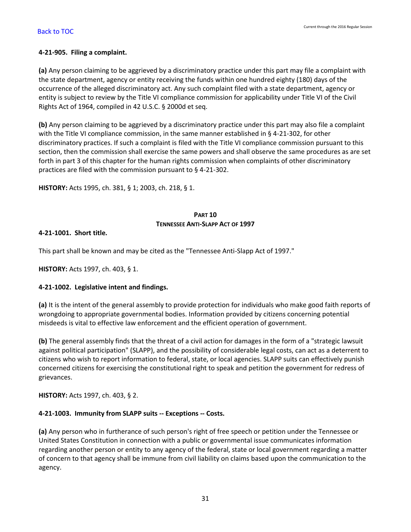## <span id="page-32-0"></span>**4-21-905. Filing a complaint.**

**(a)** Any person claiming to be aggrieved by a discriminatory practice under this part may file a complaint with the state department, agency or entity receiving the funds within one hundred eighty (180) days of the occurrence of the alleged discriminatory act. Any such complaint filed with a state department, agency or entity is subject to review by the Title VI compliance commission for applicability under Title VI of the Civil Rights Act of 1964, compiled in 42 U.S.C. § 2000d et seq.

**(b)** Any person claiming to be aggrieved by a discriminatory practice under this part may also file a complaint with the Title VI compliance commission, in the same manner established in § 4-21-302, for other discriminatory practices. If such a complaint is filed with the Title VI compliance commission pursuant to this section, then the commission shall exercise the same powers and shall observe the same procedures as are set forth in part 3 of this chapter for the human rights commission when complaints of other discriminatory practices are filed with the commission pursuant to § 4-21-302.

**HISTORY:** Acts 1995, ch. 381, § 1; 2003, ch. 218, § 1.

# **PART 10 TENNESSEE ANTI-SLAPP ACT OF 1997**

## <span id="page-32-1"></span>**4-21-1001. Short title.**

This part shall be known and may be cited as the "Tennessee Anti-Slapp Act of 1997."

**HISTORY:** Acts 1997, ch. 403, § 1.

# <span id="page-32-2"></span>**4-21-1002. Legislative intent and findings.**

**(a)** It is the intent of the general assembly to provide protection for individuals who make good faith reports of wrongdoing to appropriate governmental bodies. Information provided by citizens concerning potential misdeeds is vital to effective law enforcement and the efficient operation of government.

**(b)** The general assembly finds that the threat of a civil action for damages in the form of a "strategic lawsuit against political participation" (SLAPP), and the possibility of considerable legal costs, can act as a deterrent to citizens who wish to report information to federal, state, or local agencies. SLAPP suits can effectively punish concerned citizens for exercising the constitutional right to speak and petition the government for redress of grievances.

**HISTORY:** Acts 1997, ch. 403, § 2.

# <span id="page-32-3"></span>**4-21-1003. Immunity from SLAPP suits -- Exceptions -- Costs.**

**(a)** Any person who in furtherance of such person's right of free speech or petition under the Tennessee or United States Constitution in connection with a public or governmental issue communicates information regarding another person or entity to any agency of the federal, state or local government regarding a matter of concern to that agency shall be immune from civil liability on claims based upon the communication to the agency.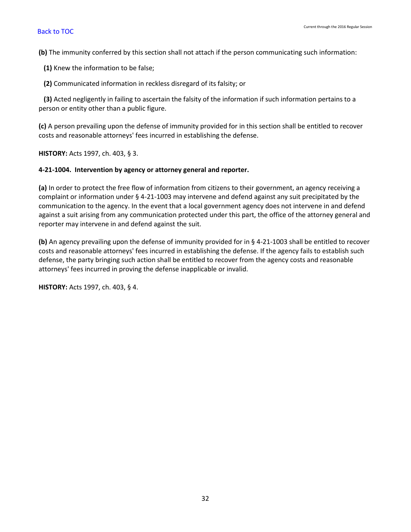**(b)** The immunity conferred by this section shall not attach if the person communicating such information:

**(1)** Knew the information to be false;

**(2)** Communicated information in reckless disregard of its falsity; or

 **(3)** Acted negligently in failing to ascertain the falsity of the information if such information pertains to a person or entity other than a public figure.

**(c)** A person prevailing upon the defense of immunity provided for in this section shall be entitled to recover costs and reasonable attorneys' fees incurred in establishing the defense.

**HISTORY:** Acts 1997, ch. 403, § 3.

# <span id="page-33-0"></span>**4-21-1004. Intervention by agency or attorney general and reporter.**

**(a)** In order to protect the free flow of information from citizens to their government, an agency receiving a complaint or information under § 4-21-1003 may intervene and defend against any suit precipitated by the communication to the agency. In the event that a local government agency does not intervene in and defend against a suit arising from any communication protected under this part, the office of the attorney general and reporter may intervene in and defend against the suit.

**(b)** An agency prevailing upon the defense of immunity provided for in § 4-21-1003 shall be entitled to recover costs and reasonable attorneys' fees incurred in establishing the defense. If the agency fails to establish such defense, the party bringing such action shall be entitled to recover from the agency costs and reasonable attorneys' fees incurred in proving the defense inapplicable or invalid.

**HISTORY:** Acts 1997, ch. 403, § 4.